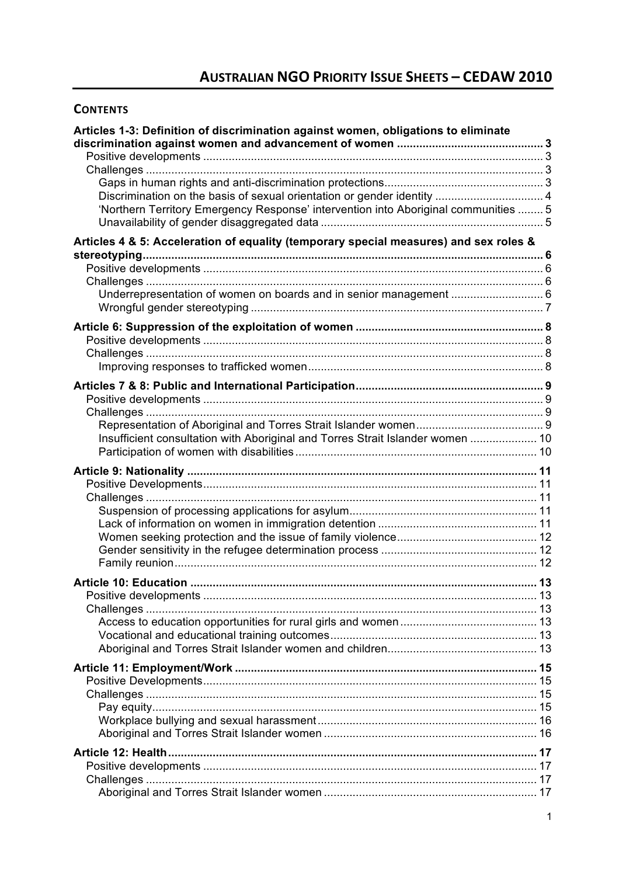# **CONTENTS**

| Articles 1-3: Definition of discrimination against women, obligations to eliminate                                                                             |    |
|----------------------------------------------------------------------------------------------------------------------------------------------------------------|----|
| Discrimination on the basis of sexual orientation or gender identity  4<br>'Northern Territory Emergency Response' intervention into Aboriginal communities  5 |    |
| Articles 4 & 5: Acceleration of equality (temporary special measures) and sex roles &                                                                          |    |
|                                                                                                                                                                |    |
| Underrepresentation of women on boards and in senior management  6                                                                                             |    |
|                                                                                                                                                                |    |
|                                                                                                                                                                |    |
|                                                                                                                                                                |    |
|                                                                                                                                                                |    |
| Insufficient consultation with Aboriginal and Torres Strait Islander women  10                                                                                 |    |
|                                                                                                                                                                |    |
| Article 10: Education.                                                                                                                                         | 13 |
|                                                                                                                                                                |    |
|                                                                                                                                                                |    |
|                                                                                                                                                                |    |
|                                                                                                                                                                |    |
|                                                                                                                                                                |    |
|                                                                                                                                                                |    |
|                                                                                                                                                                |    |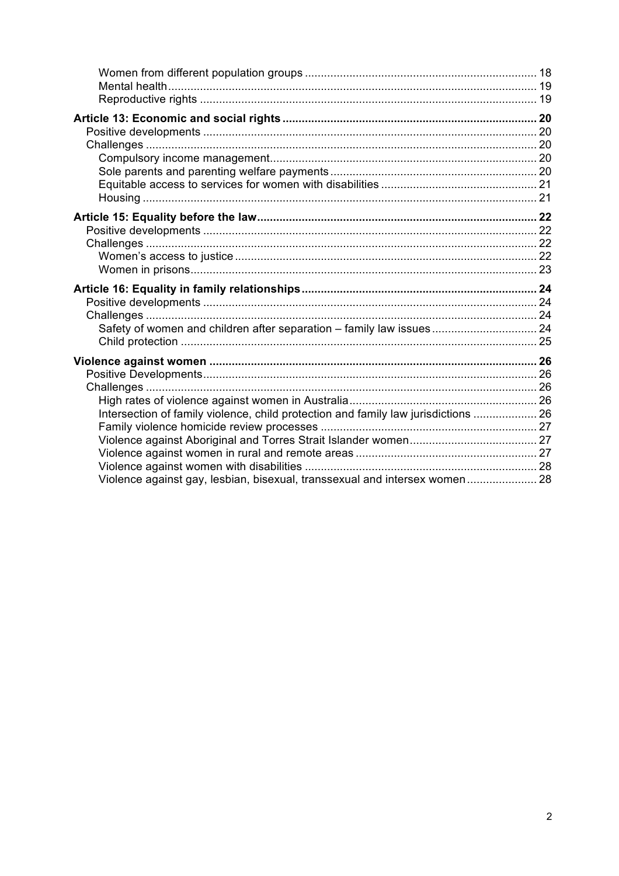| Intersection of family violence, child protection and family law jurisdictions  26 |  |
|------------------------------------------------------------------------------------|--|
| Violence against gay, lesbian, bisexual, transsexual and intersex women 28         |  |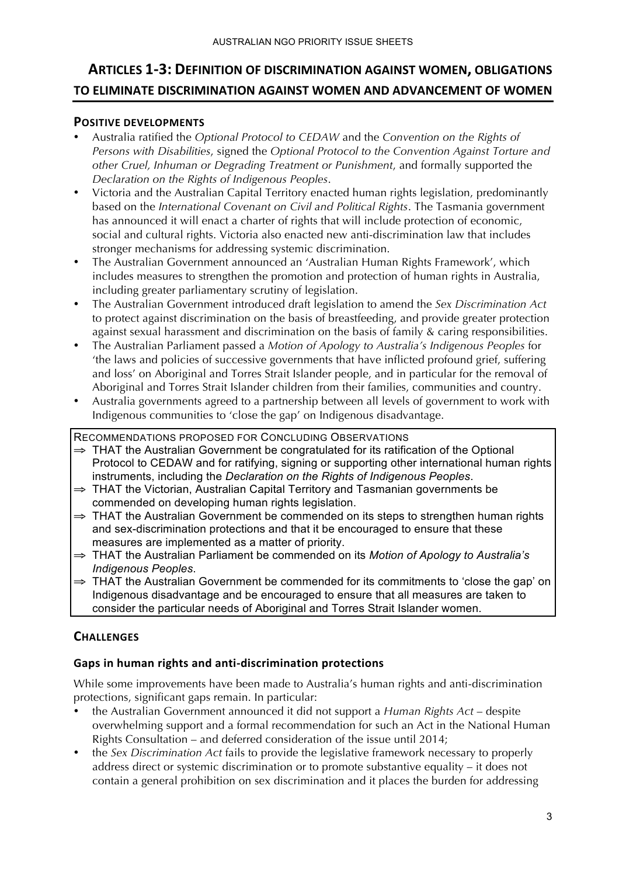# **ARTICLES 1-3: DEFINITION OF DISCRIMINATION AGAINST WOMEN, OBLIGATIONS** TO ELIMINATE DISCRIMINATION AGAINST WOMEN AND ADVANCEMENT OF WOMEN

# **POSITIVE DEVELOPMENTS**

- Australia ratified the *Optional Protocol to CEDAW* and the *Convention on the Rights of Persons with Disabilities*, signed the *Optional Protocol to the Convention Against Torture and other Cruel, Inhuman or Degrading Treatment or Punishment*, and formally supported the *Declaration on the Rights of Indigenous Peoples*.
- Victoria and the Australian Capital Territory enacted human rights legislation, predominantly based on the *International Covenant on Civil and Political Rights*. The Tasmania government has announced it will enact a charter of rights that will include protection of economic, social and cultural rights. Victoria also enacted new anti-discrimination law that includes stronger mechanisms for addressing systemic discrimination.
- The Australian Government announced an 'Australian Human Rights Framework', which includes measures to strengthen the promotion and protection of human rights in Australia, including greater parliamentary scrutiny of legislation.
- The Australian Government introduced draft legislation to amend the *Sex Discrimination Act* to protect against discrimination on the basis of breastfeeding, and provide greater protection against sexual harassment and discrimination on the basis of family & caring responsibilities.
- The Australian Parliament passed a *Motion of Apology to Australia's Indigenous Peoples* for 'the laws and policies of successive governments that have inflicted profound grief, suffering and loss' on Aboriginal and Torres Strait Islander people, and in particular for the removal of Aboriginal and Torres Strait Islander children from their families, communities and country.
- Australia governments agreed to a partnership between all levels of government to work with Indigenous communities to 'close the gap' on Indigenous disadvantage.

RECOMMENDATIONS PROPOSED FOR CONCLUDING OBSERVATIONS

- $\Rightarrow$  THAT the Australian Government be congratulated for its ratification of the Optional Protocol to CEDAW and for ratifying, signing or supporting other international human rights instruments, including the *Declaration on the Rights of Indigenous Peoples*.
- ⇒ THAT the Victorian, Australian Capital Territory and Tasmanian governments be commended on developing human rights legislation.
- ⇒ THAT the Australian Government be commended on its steps to strengthen human rights and sex-discrimination protections and that it be encouraged to ensure that these measures are implemented as a matter of priority.
- ⇒ THAT the Australian Parliament be commended on its *Motion of Apology to Australia's Indigenous Peoples*.
- $\Rightarrow$  THAT the Australian Government be commended for its commitments to 'close the gap' on Indigenous disadvantage and be encouraged to ensure that all measures are taken to consider the particular needs of Aboriginal and Torres Strait Islander women.

# **CHALLENGES)**

# Gaps in human rights and anti-discrimination protections

While some improvements have been made to Australia's human rights and anti-discrimination protections, significant gaps remain. In particular:

- the Australian Government announced it did not support a *Human Rights Act* despite overwhelming support and a formal recommendation for such an Act in the National Human Rights Consultation – and deferred consideration of the issue until 2014;
- the *Sex Discrimination Act* fails to provide the legislative framework necessary to properly address direct or systemic discrimination or to promote substantive equality – it does not contain a general prohibition on sex discrimination and it places the burden for addressing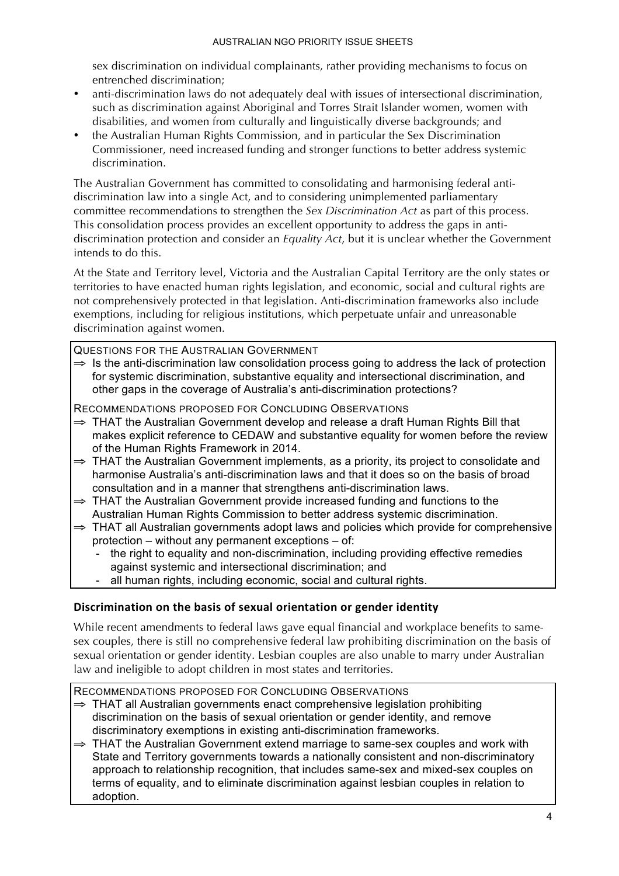sex discrimination on individual complainants, rather providing mechanisms to focus on entrenched discrimination;

- anti-discrimination laws do not adequately deal with issues of intersectional discrimination, such as discrimination against Aboriginal and Torres Strait Islander women, women with disabilities, and women from culturally and linguistically diverse backgrounds; and
- the Australian Human Rights Commission, and in particular the Sex Discrimination Commissioner, need increased funding and stronger functions to better address systemic discrimination.

The Australian Government has committed to consolidating and harmonising federal antidiscrimination law into a single Act, and to considering unimplemented parliamentary committee recommendations to strengthen the *Sex Discrimination Act* as part of this process. This consolidation process provides an excellent opportunity to address the gaps in antidiscrimination protection and consider an *Equality Act*, but it is unclear whether the Government intends to do this.

At the State and Territory level, Victoria and the Australian Capital Territory are the only states or territories to have enacted human rights legislation, and economic, social and cultural rights are not comprehensively protected in that legislation. Anti-discrimination frameworks also include exemptions, including for religious institutions, which perpetuate unfair and unreasonable discrimination against women.

QUESTIONS FOR THE AUSTRALIAN GOVERNMENT

 $\Rightarrow$  Is the anti-discrimination law consolidation process going to address the lack of protection for systemic discrimination, substantive equality and intersectional discrimination, and other gaps in the coverage of Australia's anti-discrimination protections?

RECOMMENDATIONS PROPOSED FOR CONCLUDING OBSERVATIONS

- ⇒ THAT the Australian Government develop and release a draft Human Rights Bill that makes explicit reference to CEDAW and substantive equality for women before the review of the Human Rights Framework in 2014.
- ⇒ THAT the Australian Government implements, as a priority, its project to consolidate and harmonise Australia's anti-discrimination laws and that it does so on the basis of broad consultation and in a manner that strengthens anti-discrimination laws.
- ⇒ THAT the Australian Government provide increased funding and functions to the Australian Human Rights Commission to better address systemic discrimination.
- ⇒ THAT all Australian governments adopt laws and policies which provide for comprehensive protection – without any permanent exceptions – of:
	- the right to equality and non-discrimination, including providing effective remedies against systemic and intersectional discrimination; and
	- all human rights, including economic, social and cultural rights.

# Discrimination on the basis of sexual orientation or gender identity

While recent amendments to federal laws gave equal financial and workplace benefits to samesex couples, there is still no comprehensive federal law prohibiting discrimination on the basis of sexual orientation or gender identity. Lesbian couples are also unable to marry under Australian law and ineligible to adopt children in most states and territories.

- ⇒ THAT all Australian governments enact comprehensive legislation prohibiting discrimination on the basis of sexual orientation or gender identity, and remove discriminatory exemptions in existing anti-discrimination frameworks.
- ⇒ THAT the Australian Government extend marriage to same-sex couples and work with State and Territory governments towards a nationally consistent and non-discriminatory approach to relationship recognition, that includes same-sex and mixed-sex couples on terms of equality, and to eliminate discrimination against lesbian couples in relation to adoption.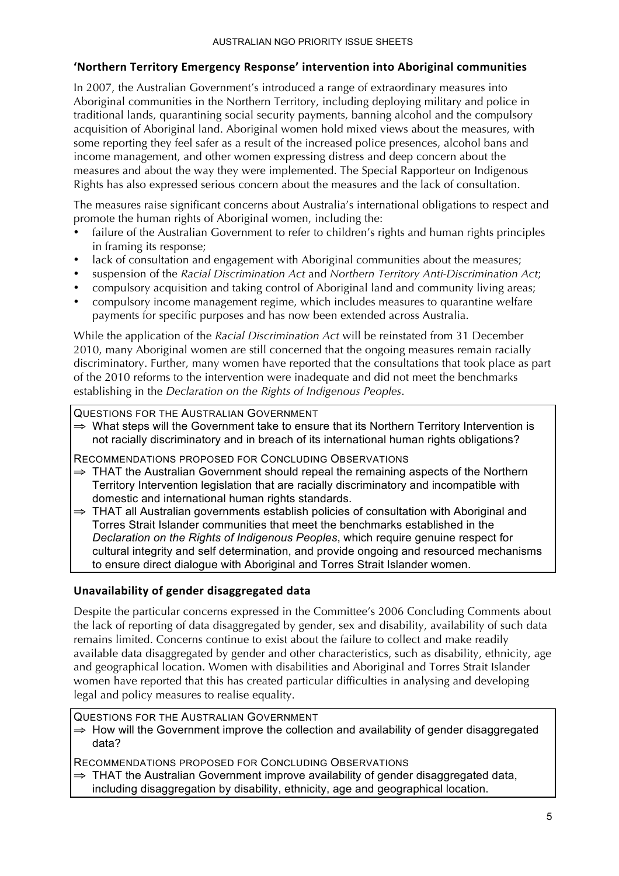# **'Northern)Territory)Emergency)Response')intervention)into)Aboriginal)communities**

In 2007, the Australian Government's introduced a range of extraordinary measures into Aboriginal communities in the Northern Territory, including deploying military and police in traditional lands, quarantining social security payments, banning alcohol and the compulsory acquisition of Aboriginal land. Aboriginal women hold mixed views about the measures, with some reporting they feel safer as a result of the increased police presences, alcohol bans and income management, and other women expressing distress and deep concern about the measures and about the way they were implemented. The Special Rapporteur on Indigenous Rights has also expressed serious concern about the measures and the lack of consultation.

The measures raise significant concerns about Australia's international obligations to respect and promote the human rights of Aboriginal women, including the:

- failure of the Australian Government to refer to children's rights and human rights principles in framing its response;
- lack of consultation and engagement with Aboriginal communities about the measures;
- suspension of the *Racial Discrimination Act* and *Northern Territory Anti-Discrimination Act*;
- compulsory acquisition and taking control of Aboriginal land and community living areas;
- compulsory income management regime, which includes measures to quarantine welfare payments for specific purposes and has now been extended across Australia.

While the application of the *Racial Discrimination Act* will be reinstated from 31 December 2010, many Aboriginal women are still concerned that the ongoing measures remain racially discriminatory. Further, many women have reported that the consultations that took place as part of the 2010 reforms to the intervention were inadequate and did not meet the benchmarks establishing in the *Declaration on the Rights of Indigenous Peoples*.

QUESTIONS FOR THE AUSTRALIAN GOVERNMENT

⇒ What steps will the Government take to ensure that its Northern Territory Intervention is not racially discriminatory and in breach of its international human rights obligations?

RECOMMENDATIONS PROPOSED FOR CONCLUDING OBSERVATIONS

- $\Rightarrow$  THAT the Australian Government should repeal the remaining aspects of the Northern Territory Intervention legislation that are racially discriminatory and incompatible with domestic and international human rights standards.
- ⇒ THAT all Australian governments establish policies of consultation with Aboriginal and Torres Strait Islander communities that meet the benchmarks established in the *Declaration on the Rights of Indigenous Peoples*, which require genuine respect for cultural integrity and self determination, and provide ongoing and resourced mechanisms to ensure direct dialogue with Aboriginal and Torres Strait Islander women.

# Unavailability of gender disaggregated data

Despite the particular concerns expressed in the Committee's 2006 Concluding Comments about the lack of reporting of data disaggregated by gender, sex and disability, availability of such data remains limited. Concerns continue to exist about the failure to collect and make readily available data disaggregated by gender and other characteristics, such as disability, ethnicity, age and geographical location. Women with disabilities and Aboriginal and Torres Strait Islander women have reported that this has created particular difficulties in analysing and developing legal and policy measures to realise equality.

QUESTIONS FOR THE AUSTRALIAN GOVERNMENT

 $\Rightarrow$  How will the Government improve the collection and availability of gender disaggregated data?

RECOMMENDATIONS PROPOSED FOR CONCLUDING OBSERVATIONS

⇒ THAT the Australian Government improve availability of gender disaggregated data, including disaggregation by disability, ethnicity, age and geographical location.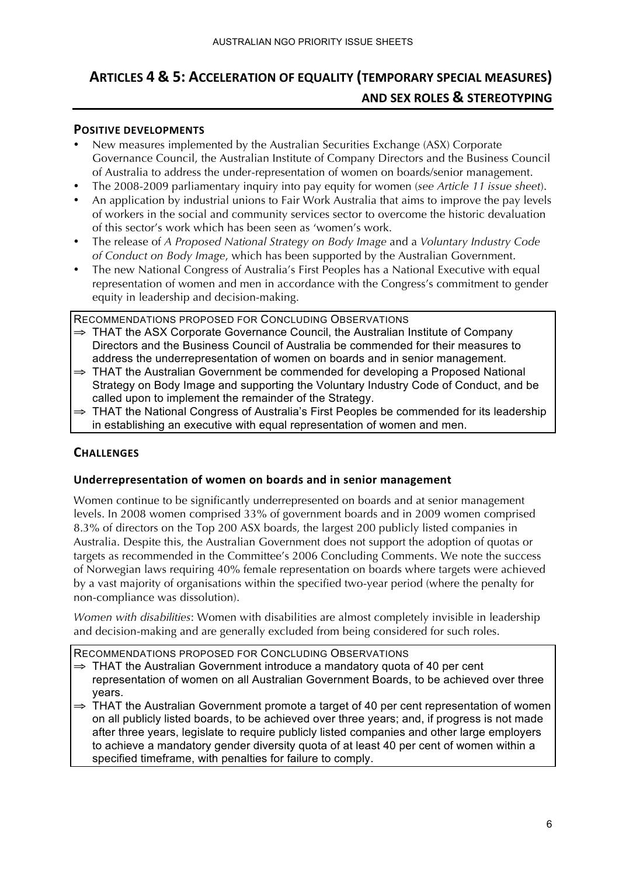# **ARTICLES 4 & 5: ACCELERATION OF EQUALITY (TEMPORARY SPECIAL MEASURES) AND SEX ROLES & STEREOTYPING**

#### **POSITIVE DEVELOPMENTS**

- New measures implemented by the Australian Securities Exchange (ASX) Corporate Governance Council, the Australian Institute of Company Directors and the Business Council of Australia to address the under-representation of women on boards/senior management.
- The 2008-2009 parliamentary inquiry into pay equity for women (*see Article 11 issue sheet*).
- An application by industrial unions to Fair Work Australia that aims to improve the pay levels of workers in the social and community services sector to overcome the historic devaluation of this sector's work which has been seen as 'women's work.
- The release of *A Proposed National Strategy on Body Image* and a *Voluntary Industry Code of Conduct on Body Image*, which has been supported by the Australian Government.
- The new National Congress of Australia's First Peoples has a National Executive with equal representation of women and men in accordance with the Congress's commitment to gender equity in leadership and decision-making.

RECOMMENDATIONS PROPOSED FOR CONCLUDING OBSERVATIONS

- ⇒ THAT the ASX Corporate Governance Council, the Australian Institute of Company Directors and the Business Council of Australia be commended for their measures to address the underrepresentation of women on boards and in senior management.
- $\Rightarrow$  THAT the Australian Government be commended for developing a Proposed National Strategy on Body Image and supporting the Voluntary Industry Code of Conduct, and be called upon to implement the remainder of the Strategy.
- ⇒ THAT the National Congress of Australia's First Peoples be commended for its leadership in establishing an executive with equal representation of women and men.

# **CHALLENGES**

# Underrepresentation of women on boards and in senior management

Women continue to be significantly underrepresented on boards and at senior management levels. In 2008 women comprised 33% of government boards and in 2009 women comprised 8.3% of directors on the Top 200 ASX boards, the largest 200 publicly listed companies in Australia. Despite this, the Australian Government does not support the adoption of quotas or targets as recommended in the Committee's 2006 Concluding Comments. We note the success of Norwegian laws requiring 40% female representation on boards where targets were achieved by a vast majority of organisations within the specified two-year period (where the penalty for non-compliance was dissolution).

*Women with disabilities*: Women with disabilities are almost completely invisible in leadership and decision-making and are generally excluded from being considered for such roles.

- $\Rightarrow$  THAT the Australian Government introduce a mandatory quota of 40 per cent representation of women on all Australian Government Boards, to be achieved over three years.
- ⇒ THAT the Australian Government promote a target of 40 per cent representation of women on all publicly listed boards, to be achieved over three years; and, if progress is not made after three years, legislate to require publicly listed companies and other large employers to achieve a mandatory gender diversity quota of at least 40 per cent of women within a specified timeframe, with penalties for failure to comply.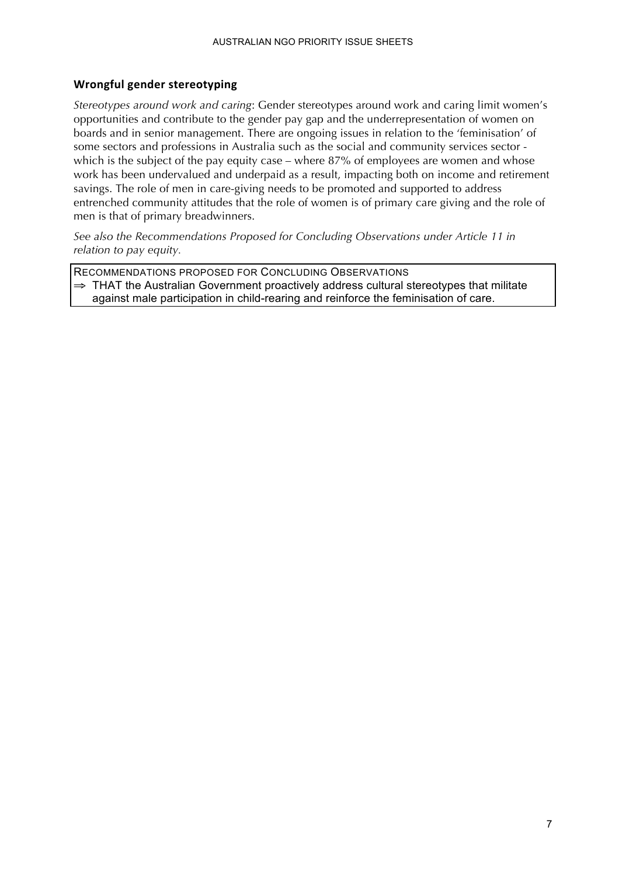### **Wrongful gender stereotyping**

*Stereotypes around work and caring*: Gender stereotypes around work and caring limit women's opportunities and contribute to the gender pay gap and the underrepresentation of women on boards and in senior management. There are ongoing issues in relation to the 'feminisation' of some sectors and professions in Australia such as the social and community services sector which is the subject of the pay equity case – where 87% of employees are women and whose work has been undervalued and underpaid as a result, impacting both on income and retirement savings. The role of men in care-giving needs to be promoted and supported to address entrenched community attitudes that the role of women is of primary care giving and the role of men is that of primary breadwinners.

*See also the Recommendations Proposed for Concluding Observations under Article 11 in relation to pay equity.* 

RECOMMENDATIONS PROPOSED FOR CONCLUDING OBSERVATIONS  $\Rightarrow$  THAT the Australian Government proactively address cultural stereotypes that militate against male participation in child-rearing and reinforce the feminisation of care.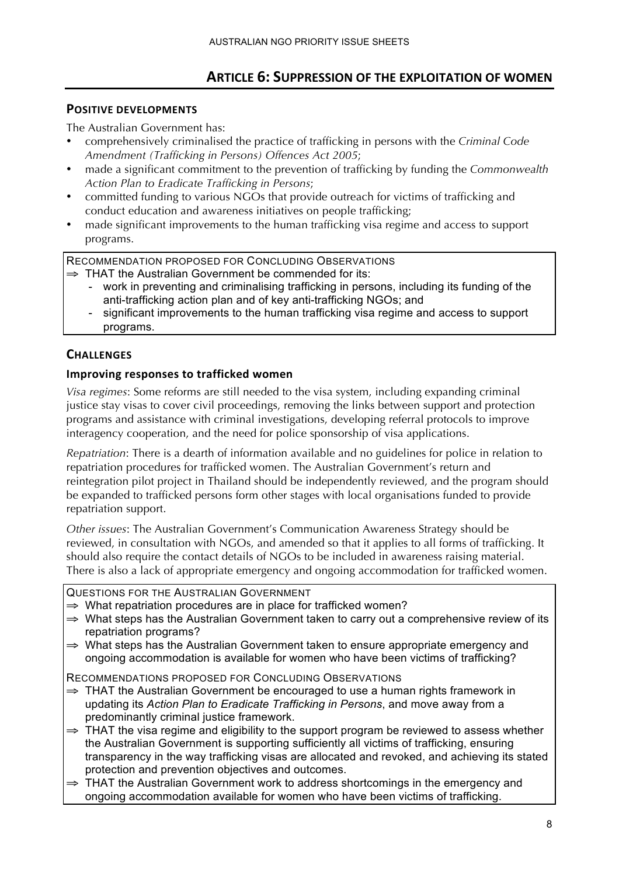# **ARTICLE 6: SUPPRESSION OF THE EXPLOITATION OF WOMEN**

# **POSITIVE DEVELOPMENTS**

The Australian Government has:

- comprehensively criminalised the practice of trafficking in persons with the *Criminal Code Amendment (Trafficking in Persons) Offences Act 2005*;
- made a significant commitment to the prevention of trafficking by funding the *Commonwealth Action Plan to Eradicate Trafficking in Persons*;
- committed funding to various NGOs that provide outreach for victims of trafficking and conduct education and awareness initiatives on people trafficking;
- made significant improvements to the human trafficking visa regime and access to support programs.

RECOMMENDATION PROPOSED FOR CONCLUDING OBSERVATIONS

- ⇒ THAT the Australian Government be commended for its:
	- work in preventing and criminalising trafficking in persons, including its funding of the anti-trafficking action plan and of key anti-trafficking NGOs; and
	- significant improvements to the human trafficking visa regime and access to support programs.

# **CHALLENGES**

#### **Improving responses to trafficked women**

*Visa regimes*: Some reforms are still needed to the visa system, including expanding criminal justice stay visas to cover civil proceedings, removing the links between support and protection programs and assistance with criminal investigations, developing referral protocols to improve interagency cooperation, and the need for police sponsorship of visa applications.

*Repatriation*: There is a dearth of information available and no guidelines for police in relation to repatriation procedures for trafficked women. The Australian Government's return and reintegration pilot project in Thailand should be independently reviewed, and the program should be expanded to trafficked persons form other stages with local organisations funded to provide repatriation support.

*Other issues*: The Australian Government's Communication Awareness Strategy should be reviewed, in consultation with NGOs, and amended so that it applies to all forms of trafficking. It should also require the contact details of NGOs to be included in awareness raising material. There is also a lack of appropriate emergency and ongoing accommodation for trafficked women.

QUESTIONS FOR THE AUSTRALIAN GOVERNMENT

- ⇒ What repatriation procedures are in place for trafficked women?
- ⇒ What steps has the Australian Government taken to carry out a comprehensive review of its repatriation programs?
- ⇒ What steps has the Australian Government taken to ensure appropriate emergency and ongoing accommodation is available for women who have been victims of trafficking?

- $\Rightarrow$  THAT the Australian Government be encouraged to use a human rights framework in updating its *Action Plan to Eradicate Trafficking in Persons*, and move away from a predominantly criminal justice framework.
- $\Rightarrow$  THAT the visa regime and eligibility to the support program be reviewed to assess whether the Australian Government is supporting sufficiently all victims of trafficking, ensuring transparency in the way trafficking visas are allocated and revoked, and achieving its stated protection and prevention objectives and outcomes.
- $\Rightarrow$  THAT the Australian Government work to address shortcomings in the emergency and ongoing accommodation available for women who have been victims of trafficking.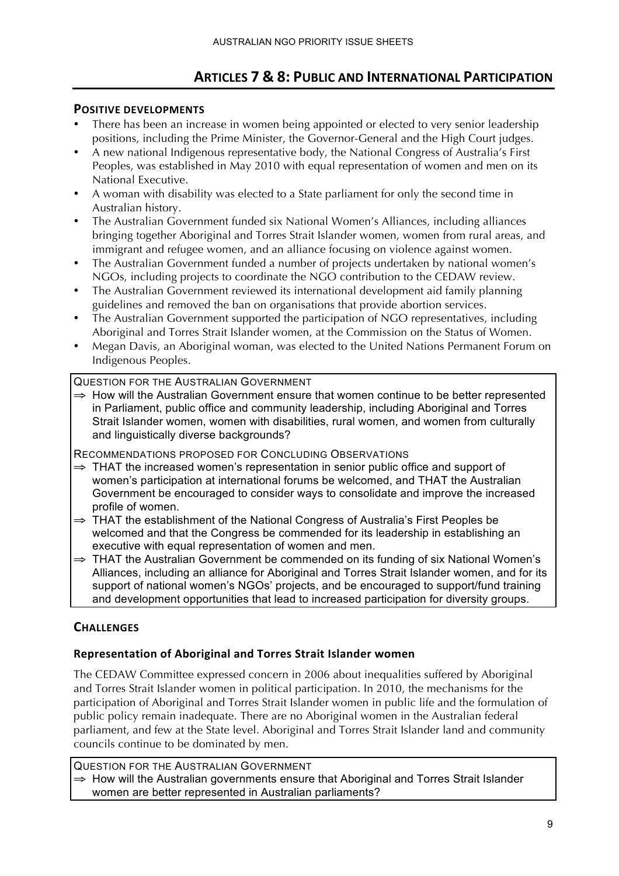# **ARTICLES)7 & 8: PUBLIC)AND)INTERNATIONAL)PARTICIPATION**

# **POSITIVE DEVELOPMENTS**

- There has been an increase in women being appointed or elected to very senior leadership positions, including the Prime Minister, the Governor-General and the High Court judges.
- A new national Indigenous representative body, the National Congress of Australia's First Peoples, was established in May 2010 with equal representation of women and men on its National Executive.
- A woman with disability was elected to a State parliament for only the second time in Australian history.
- The Australian Government funded six National Women's Alliances, including alliances bringing together Aboriginal and Torres Strait Islander women, women from rural areas, and immigrant and refugee women, and an alliance focusing on violence against women.
- The Australian Government funded a number of projects undertaken by national women's NGOs, including projects to coordinate the NGO contribution to the CEDAW review.
- The Australian Government reviewed its international development aid family planning guidelines and removed the ban on organisations that provide abortion services.
- The Australian Government supported the participation of NGO representatives, including Aboriginal and Torres Strait Islander women, at the Commission on the Status of Women.
- Megan Davis, an Aboriginal woman, was elected to the United Nations Permanent Forum on Indigenous Peoples.

#### QUESTION FOR THE AUSTRALIAN GOVERNMENT

⇒ How will the Australian Government ensure that women continue to be better represented in Parliament, public office and community leadership, including Aboriginal and Torres Strait Islander women, women with disabilities, rural women, and women from culturally and linguistically diverse backgrounds?

RECOMMENDATIONS PROPOSED FOR CONCLUDING OBSERVATIONS

- ⇒ THAT the increased women's representation in senior public office and support of women's participation at international forums be welcomed, and THAT the Australian Government be encouraged to consider ways to consolidate and improve the increased profile of women.
- ⇒ THAT the establishment of the National Congress of Australia's First Peoples be welcomed and that the Congress be commended for its leadership in establishing an executive with equal representation of women and men.
- ⇒ THAT the Australian Government be commended on its funding of six National Women's Alliances, including an alliance for Aboriginal and Torres Strait Islander women, and for its support of national women's NGOs' projects, and be encouraged to support/fund training and development opportunities that lead to increased participation for diversity groups.

# **CHALLENGES)**

# Representation of Aboriginal and Torres Strait Islander women

The CEDAW Committee expressed concern in 2006 about inequalities suffered by Aboriginal and Torres Strait Islander women in political participation. In 2010, the mechanisms for the participation of Aboriginal and Torres Strait Islander women in public life and the formulation of public policy remain inadequate. There are no Aboriginal women in the Australian federal parliament, and few at the State level. Aboriginal and Torres Strait Islander land and community councils continue to be dominated by men.

QUESTION FOR THE AUSTRALIAN GOVERNMENT ⇒ How will the Australian governments ensure that Aboriginal and Torres Strait Islander women are better represented in Australian parliaments?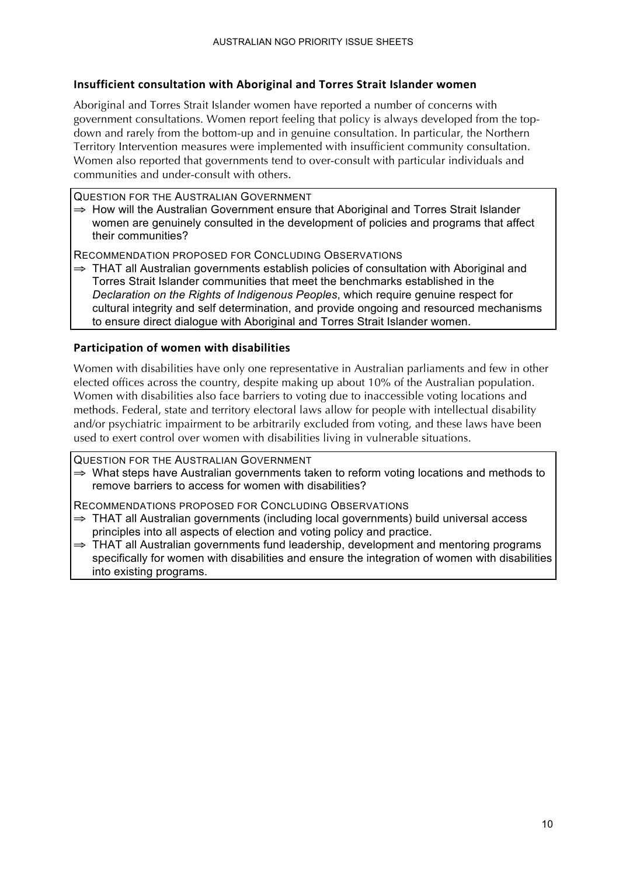#### Insufficient consultation with Aboriginal and Torres Strait Islander women

Aboriginal and Torres Strait Islander women have reported a number of concerns with government consultations. Women report feeling that policy is always developed from the topdown and rarely from the bottom-up and in genuine consultation. In particular, the Northern Territory Intervention measures were implemented with insufficient community consultation. Women also reported that governments tend to over-consult with particular individuals and communities and under-consult with others.

#### QUESTION FOR THE AUSTRALIAN GOVERNMENT

 $\Rightarrow$  How will the Australian Government ensure that Aboriginal and Torres Strait Islander women are genuinely consulted in the development of policies and programs that affect their communities?

RECOMMENDATION PROPOSED FOR CONCLUDING OBSERVATIONS

⇒ THAT all Australian governments establish policies of consultation with Aboriginal and Torres Strait Islander communities that meet the benchmarks established in the *Declaration on the Rights of Indigenous Peoples*, which require genuine respect for cultural integrity and self determination, and provide ongoing and resourced mechanisms to ensure direct dialogue with Aboriginal and Torres Strait Islander women.

#### Participation of women with disabilities

Women with disabilities have only one representative in Australian parliaments and few in other elected offices across the country, despite making up about 10% of the Australian population. Women with disabilities also face barriers to voting due to inaccessible voting locations and methods. Federal, state and territory electoral laws allow for people with intellectual disability and/or psychiatric impairment to be arbitrarily excluded from voting, and these laws have been used to exert control over women with disabilities living in vulnerable situations.

QUESTION FOR THE AUSTRALIAN GOVERNMENT

⇒ What steps have Australian governments taken to reform voting locations and methods to remove barriers to access for women with disabilities?

- ⇒ THAT all Australian governments (including local governments) build universal access principles into all aspects of election and voting policy and practice.
- ⇒ THAT all Australian governments fund leadership, development and mentoring programs specifically for women with disabilities and ensure the integration of women with disabilities into existing programs.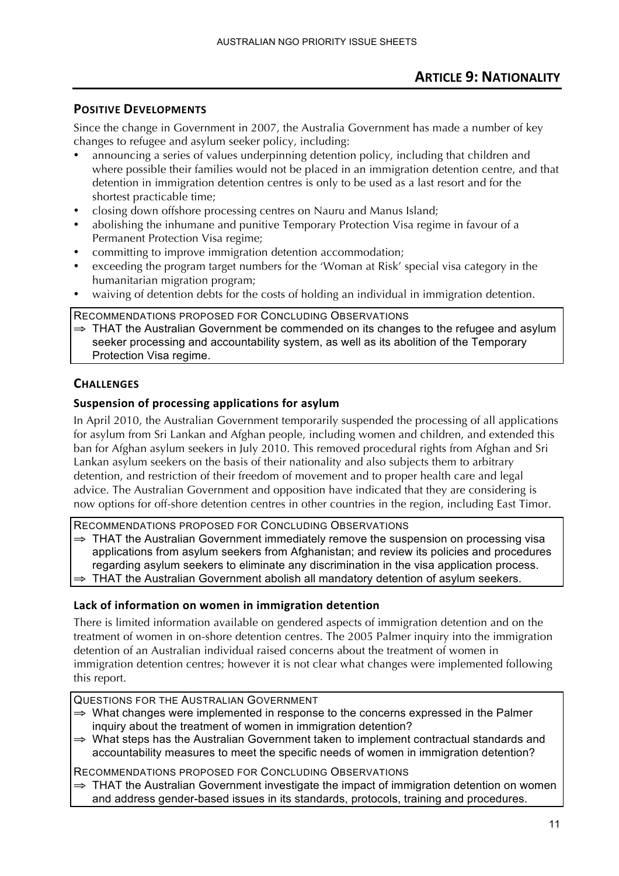Since the change in Government in 2007, the Australia Government has made a number of key changes to refugee and asylum seeker policy, including:

- announcing a series of values underpinning detention policy, including that children and where possible their families would not be placed in an immigration detention centre, and that detention in immigration detention centres is only to be used as a last resort and for the shortest practicable time;
- closing down offshore processing centres on Nauru and Manus Island;
- abolishing the inhumane and punitive Temporary Protection Visa regime in favour of a Permanent Protection Visa regime;
- committing to improve immigration detention accommodation;
- exceeding the program target numbers for the 'Woman at Risk' special visa category in the humanitarian migration program;
- waiving of detention debts for the costs of holding an individual in immigration detention.

RECOMMENDATIONS PROPOSED FOR CONCLUDING OBSERVATIONS

⇒ THAT the Australian Government be commended on its changes to the refugee and asylum seeker processing and accountability system, as well as its abolition of the Temporary Protection Visa regime.

# **CHALLENGES**

# Suspension of processing applications for asylum

In April 2010, the Australian Government temporarily suspended the processing of all applications for asylum from Sri Lankan and Afghan people, including women and children, and extended this ban for Afghan asylum seekers in July 2010. This removed procedural rights from Afghan and Sri Lankan asylum seekers on the basis of their nationality and also subjects them to arbitrary detention, and restriction of their freedom of movement and to proper health care and legal advice. The Australian Government and opposition have indicated that they are considering is now options for off-shore detention centres in other countries in the region, including East Timor.

RECOMMENDATIONS PROPOSED FOR CONCLUDING OBSERVATIONS

- ⇒ THAT the Australian Government immediately remove the suspension on processing visa applications from asylum seekers from Afghanistan; and review its policies and procedures regarding asylum seekers to eliminate any discrimination in the visa application process.
- $\Rightarrow$  THAT the Australian Government abolish all mandatory detention of asylum seekers.

# Lack of information on women in immigration detention

There is limited information available on gendered aspects of immigration detention and on the treatment of women in on-shore detention centres. The 2005 Palmer inquiry into the immigration detention of an Australian individual raised concerns about the treatment of women in immigration detention centres; however it is not clear what changes were implemented following this report.

QUESTIONS FOR THE AUSTRALIAN GOVERNMENT

- $\Rightarrow$  What changes were implemented in response to the concerns expressed in the Palmer inquiry about the treatment of women in immigration detention?
- ⇒ What steps has the Australian Government taken to implement contractual standards and accountability measures to meet the specific needs of women in immigration detention?

RECOMMENDATIONS PROPOSED FOR CONCLUDING OBSERVATIONS

 $\Rightarrow$  THAT the Australian Government investigate the impact of immigration detention on women and address gender-based issues in its standards, protocols, training and procedures.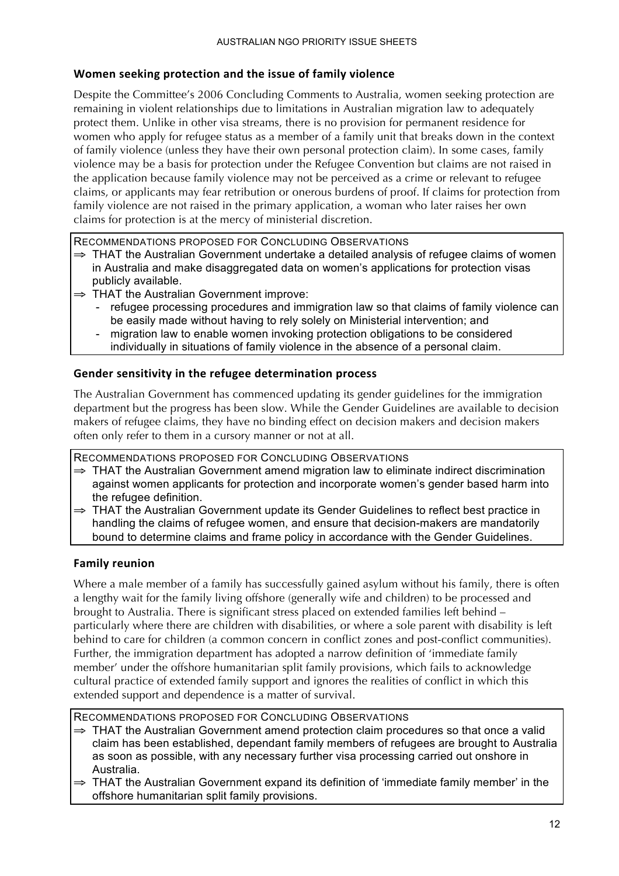# Women seeking protection and the issue of family violence

Despite the Committee's 2006 Concluding Comments to Australia, women seeking protection are remaining in violent relationships due to limitations in Australian migration law to adequately protect them. Unlike in other visa streams, there is no provision for permanent residence for women who apply for refugee status as a member of a family unit that breaks down in the context of family violence (unless they have their own personal protection claim). In some cases, family violence may be a basis for protection under the Refugee Convention but claims are not raised in the application because family violence may not be perceived as a crime or relevant to refugee claims, or applicants may fear retribution or onerous burdens of proof. If claims for protection from family violence are not raised in the primary application, a woman who later raises her own claims for protection is at the mercy of ministerial discretion.

RECOMMENDATIONS PROPOSED FOR CONCLUDING OBSERVATIONS

- ⇒ THAT the Australian Government undertake a detailed analysis of refugee claims of women in Australia and make disaggregated data on women's applications for protection visas publicly available.
- ⇒ THAT the Australian Government improve:
	- refugee processing procedures and immigration law so that claims of family violence can be easily made without having to rely solely on Ministerial intervention; and
	- migration law to enable women invoking protection obligations to be considered individually in situations of family violence in the absence of a personal claim.

# Gender sensitivity in the refugee determination process

The Australian Government has commenced updating its gender guidelines for the immigration department but the progress has been slow. While the Gender Guidelines are available to decision makers of refugee claims, they have no binding effect on decision makers and decision makers often only refer to them in a cursory manner or not at all.

RECOMMENDATIONS PROPOSED FOR CONCLUDING OBSERVATIONS

- ⇒ THAT the Australian Government amend migration law to eliminate indirect discrimination against women applicants for protection and incorporate women's gender based harm into the refugee definition.
- ⇒ THAT the Australian Government update its Gender Guidelines to reflect best practice in handling the claims of refugee women, and ensure that decision-makers are mandatorily bound to determine claims and frame policy in accordance with the Gender Guidelines.

# **Family reunion**

Where a male member of a family has successfully gained asylum without his family, there is often a lengthy wait for the family living offshore (generally wife and children) to be processed and brought to Australia. There is significant stress placed on extended families left behind – particularly where there are children with disabilities, or where a sole parent with disability is left behind to care for children (a common concern in conflict zones and post-conflict communities). Further, the immigration department has adopted a narrow definition of 'immediate family member' under the offshore humanitarian split family provisions, which fails to acknowledge cultural practice of extended family support and ignores the realities of conflict in which this extended support and dependence is a matter of survival.

- ⇒ THAT the Australian Government amend protection claim procedures so that once a valid claim has been established, dependant family members of refugees are brought to Australia as soon as possible, with any necessary further visa processing carried out onshore in Australia.
- ⇒ THAT the Australian Government expand its definition of 'immediate family member' in the offshore humanitarian split family provisions.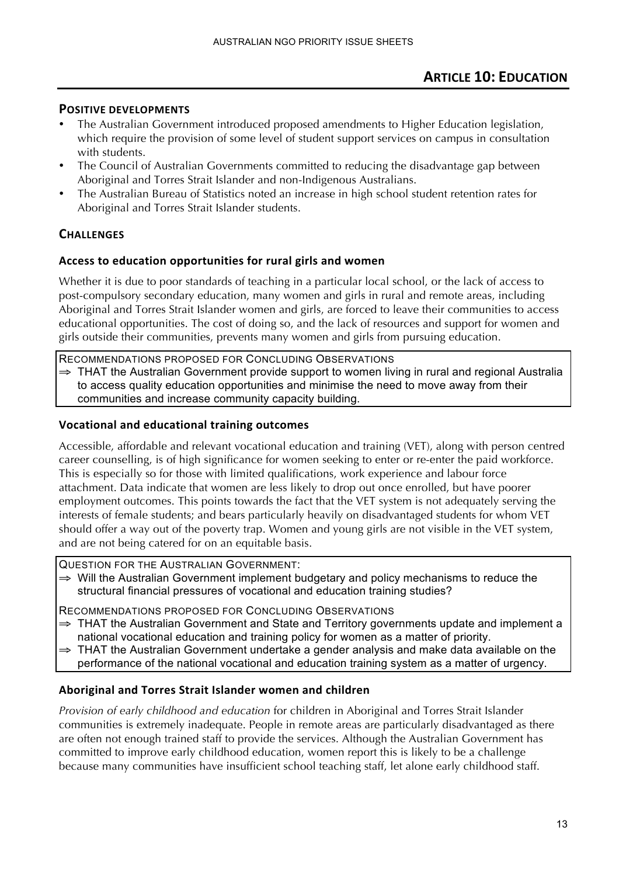- The Australian Government introduced proposed amendments to Higher Education legislation, which require the provision of some level of student support services on campus in consultation with students.
- The Council of Australian Governments committed to reducing the disadvantage gap between Aboriginal and Torres Strait Islander and non-Indigenous Australians.
- The Australian Bureau of Statistics noted an increase in high school student retention rates for Aboriginal and Torres Strait Islander students.

# **CHALLENGES**

#### Access to education opportunities for rural girls and women

Whether it is due to poor standards of teaching in a particular local school, or the lack of access to post-compulsory secondary education, many women and girls in rural and remote areas, including Aboriginal and Torres Strait Islander women and girls, are forced to leave their communities to access educational opportunities. The cost of doing so, and the lack of resources and support for women and girls outside their communities, prevents many women and girls from pursuing education.

RECOMMENDATIONS PROPOSED FOR CONCLUDING OBSERVATIONS

⇒ THAT the Australian Government provide support to women living in rural and regional Australia to access quality education opportunities and minimise the need to move away from their communities and increase community capacity building.

#### **Vocational)and)educational)training)outcomes)**

Accessible, affordable and relevant vocational education and training (VET), along with person centred career counselling, is of high significance for women seeking to enter or re-enter the paid workforce. This is especially so for those with limited qualifications, work experience and labour force attachment. Data indicate that women are less likely to drop out once enrolled, but have poorer employment outcomes. This points towards the fact that the VET system is not adequately serving the interests of female students; and bears particularly heavily on disadvantaged students for whom VET should offer a way out of the poverty trap. Women and young girls are not visible in the VET system, and are not being catered for on an equitable basis.

QUESTION FOR THE AUSTRALIAN GOVERNMENT:

⇒ Will the Australian Government implement budgetary and policy mechanisms to reduce the structural financial pressures of vocational and education training studies?

RECOMMENDATIONS PROPOSED FOR CONCLUDING OBSERVATIONS

- ⇒ THAT the Australian Government and State and Territory governments update and implement a national vocational education and training policy for women as a matter of priority.
- ⇒ THAT the Australian Government undertake a gender analysis and make data available on the performance of the national vocational and education training system as a matter of urgency.

# Aboriginal and Torres Strait Islander women and children

*Provision of early childhood and education* for children in Aboriginal and Torres Strait Islander communities is extremely inadequate. People in remote areas are particularly disadvantaged as there are often not enough trained staff to provide the services. Although the Australian Government has committed to improve early childhood education, women report this is likely to be a challenge because many communities have insufficient school teaching staff, let alone early childhood staff.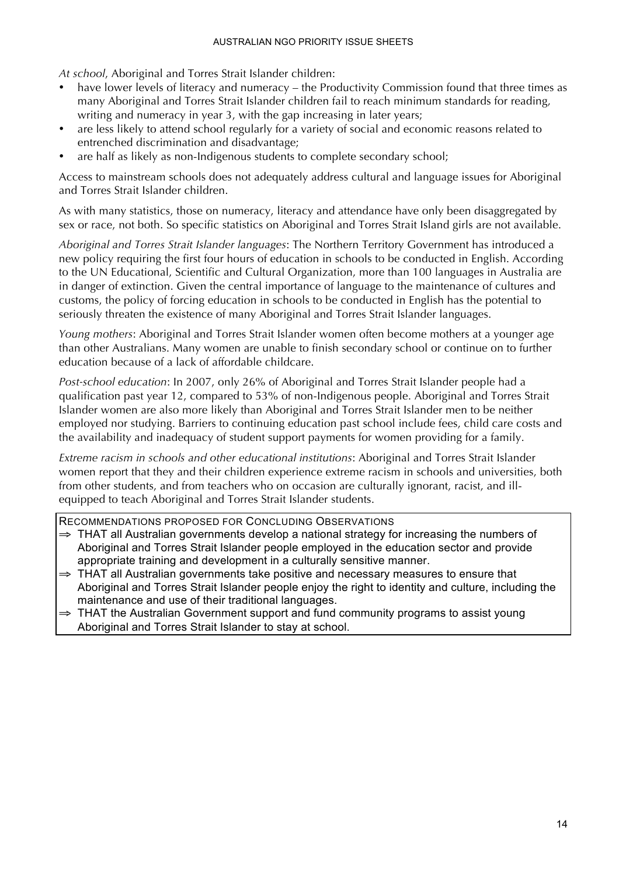*At school*, Aboriginal and Torres Strait Islander children:

- have lower levels of literacy and numeracy the Productivity Commission found that three times as many Aboriginal and Torres Strait Islander children fail to reach minimum standards for reading, writing and numeracy in year 3, with the gap increasing in later years;
- are less likely to attend school regularly for a variety of social and economic reasons related to entrenched discrimination and disadvantage;
- are half as likely as non-Indigenous students to complete secondary school;

Access to mainstream schools does not adequately address cultural and language issues for Aboriginal and Torres Strait Islander children.

As with many statistics, those on numeracy, literacy and attendance have only been disaggregated by sex or race, not both. So specific statistics on Aboriginal and Torres Strait Island girls are not available.

*Aboriginal and Torres Strait Islander languages*: The Northern Territory Government has introduced a new policy requiring the first four hours of education in schools to be conducted in English. According to the UN Educational, Scientific and Cultural Organization, more than 100 languages in Australia are in danger of extinction. Given the central importance of language to the maintenance of cultures and customs, the policy of forcing education in schools to be conducted in English has the potential to seriously threaten the existence of many Aboriginal and Torres Strait Islander languages.

*Young mothers*: Aboriginal and Torres Strait Islander women often become mothers at a younger age than other Australians. Many women are unable to finish secondary school or continue on to further education because of a lack of affordable childcare.

*Post-school education*: In 2007, only 26% of Aboriginal and Torres Strait Islander people had a qualification past year 12, compared to 53% of non-Indigenous people. Aboriginal and Torres Strait Islander women are also more likely than Aboriginal and Torres Strait Islander men to be neither employed nor studying. Barriers to continuing education past school include fees, child care costs and the availability and inadequacy of student support payments for women providing for a family.

*Extreme racism in schools and other educational institutions*: Aboriginal and Torres Strait Islander women report that they and their children experience extreme racism in schools and universities, both from other students, and from teachers who on occasion are culturally ignorant, racist, and illequipped to teach Aboriginal and Torres Strait Islander students.

- ⇒ THAT all Australian governments develop a national strategy for increasing the numbers of Aboriginal and Torres Strait Islander people employed in the education sector and provide appropriate training and development in a culturally sensitive manner.
- ⇒ THAT all Australian governments take positive and necessary measures to ensure that Aboriginal and Torres Strait Islander people enjoy the right to identity and culture, including the maintenance and use of their traditional languages.
- ⇒ THAT the Australian Government support and fund community programs to assist young Aboriginal and Torres Strait Islander to stay at school.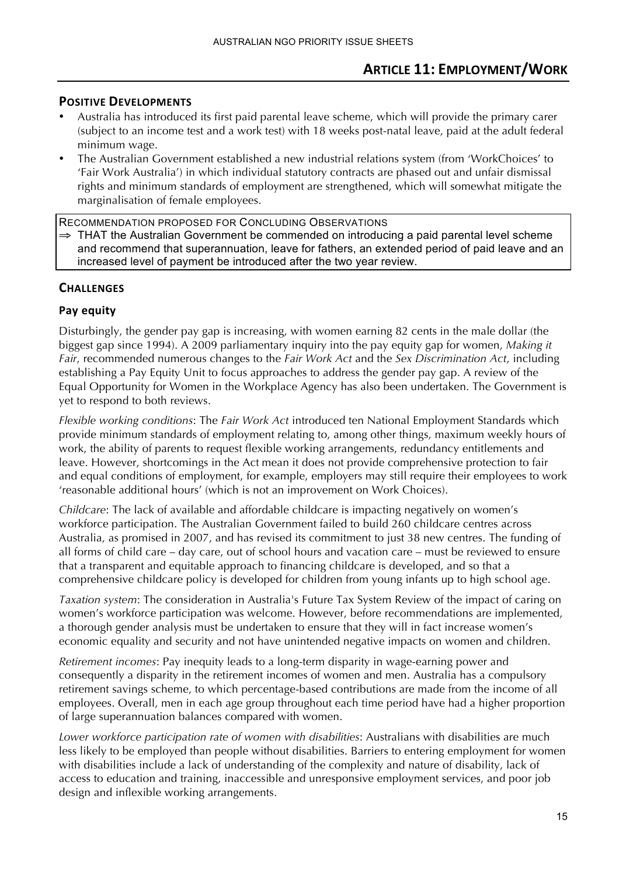- Australia has introduced its first paid parental leave scheme, which will provide the primary carer (subject to an income test and a work test) with 18 weeks post-natal leave, paid at the adult federal minimum wage.
- The Australian Government established a new industrial relations system (from 'WorkChoices' to 'Fair Work Australia') in which individual statutory contracts are phased out and unfair dismissal rights and minimum standards of employment are strengthened, which will somewhat mitigate the marginalisation of female employees.

RECOMMENDATION PROPOSED FOR CONCLUDING OBSERVATIONS  $\Rightarrow$  THAT the Australian Government be commended on introducing a paid parental level scheme and recommend that superannuation, leave for fathers, an extended period of paid leave and an increased level of payment be introduced after the two year review.

# **CHALLENGES**

#### **Pay)equity)**

Disturbingly, the gender pay gap is increasing, with women earning 82 cents in the male dollar (the biggest gap since 1994). A 2009 parliamentary inquiry into the pay equity gap for women, *Making it Fair*, recommended numerous changes to the *Fair Work Act* and the *Sex Discrimination Act*, including establishing a Pay Equity Unit to focus approaches to address the gender pay gap. A review of the Equal Opportunity for Women in the Workplace Agency has also been undertaken. The Government is yet to respond to both reviews.

*Flexible working conditions*: The *Fair Work Act* introduced ten National Employment Standards which provide minimum standards of employment relating to, among other things, maximum weekly hours of work, the ability of parents to request flexible working arrangements, redundancy entitlements and leave. However, shortcomings in the Act mean it does not provide comprehensive protection to fair and equal conditions of employment, for example, employers may still require their employees to work 'reasonable additional hours' (which is not an improvement on Work Choices).

*Childcare*: The lack of available and affordable childcare is impacting negatively on women's workforce participation. The Australian Government failed to build 260 childcare centres across Australia, as promised in 2007, and has revised its commitment to just 38 new centres. The funding of all forms of child care – day care, out of school hours and vacation care – must be reviewed to ensure that a transparent and equitable approach to financing childcare is developed, and so that a comprehensive childcare policy is developed for children from young infants up to high school age.

*Taxation system*: The consideration in Australia's Future Tax System Review of the impact of caring on women's workforce participation was welcome. However, before recommendations are implemented, a thorough gender analysis must be undertaken to ensure that they will in fact increase women's economic equality and security and not have unintended negative impacts on women and children.

*Retirement incomes*: Pay inequity leads to a long-term disparity in wage-earning power and consequently a disparity in the retirement incomes of women and men. Australia has a compulsory retirement savings scheme, to which percentage-based contributions are made from the income of all employees. Overall, men in each age group throughout each time period have had a higher proportion of large superannuation balances compared with women.

*Lower workforce participation rate of women with disabilities*: Australians with disabilities are much less likely to be employed than people without disabilities. Barriers to entering employment for women with disabilities include a lack of understanding of the complexity and nature of disability, lack of access to education and training, inaccessible and unresponsive employment services, and poor job design and inflexible working arrangements.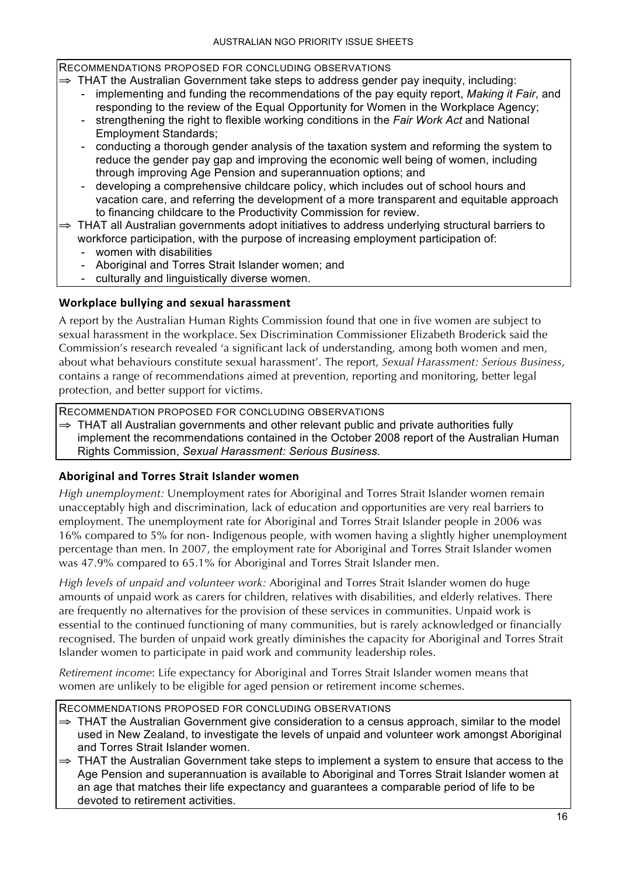#### RECOMMENDATIONS PROPOSED FOR CONCLUDING OBSERVATIONS

⇒ THAT the Australian Government take steps to address gender pay inequity, including:

- implementing and funding the recommendations of the pay equity report, *Making it Fair*, and responding to the review of the Equal Opportunity for Women in the Workplace Agency;
- strengthening the right to flexible working conditions in the *Fair Work Act* and National Employment Standards;
- conducting a thorough gender analysis of the taxation system and reforming the system to reduce the gender pay gap and improving the economic well being of women, including through improving Age Pension and superannuation options; and
- developing a comprehensive childcare policy, which includes out of school hours and vacation care, and referring the development of a more transparent and equitable approach to financing childcare to the Productivity Commission for review.
- ⇒ THAT all Australian governments adopt initiatives to address underlying structural barriers to workforce participation, with the purpose of increasing employment participation of:
	- women with disabilities
	- Aboriginal and Torres Strait Islander women; and
	- culturally and linguistically diverse women.

# **Workplace)bullying)and)sexual)harassment**

A report by the Australian Human Rights Commission found that one in five women are subject to sexual harassment in the workplace. Sex Discrimination Commissioner Elizabeth Broderick said the Commission's research revealed 'a significant lack of understanding, among both women and men, about what behaviours constitute sexual harassment'. The report, *Sexual Harassment: Serious Business*, contains a range of recommendations aimed at prevention, reporting and monitoring, better legal protection, and better support for victims.

RECOMMENDATION PROPOSED FOR CONCLUDING OBSERVATIONS

⇒ THAT all Australian governments and other relevant public and private authorities fully implement the recommendations contained in the October 2008 report of the Australian Human Rights Commission, *Sexual Harassment: Serious Business*.

# Aboriginal and Torres Strait Islander women

*High unemployment:* Unemployment rates for Aboriginal and Torres Strait Islander women remain unacceptably high and discrimination, lack of education and opportunities are very real barriers to employment. The unemployment rate for Aboriginal and Torres Strait Islander people in 2006 was 16% compared to 5% for non- Indigenous people, with women having a slightly higher unemployment percentage than men. In 2007, the employment rate for Aboriginal and Torres Strait Islander women was 47.9% compared to 65.1% for Aboriginal and Torres Strait Islander men.

*High levels of unpaid and volunteer work:* Aboriginal and Torres Strait Islander women do huge amounts of unpaid work as carers for children, relatives with disabilities, and elderly relatives. There are frequently no alternatives for the provision of these services in communities. Unpaid work is essential to the continued functioning of many communities, but is rarely acknowledged or financially recognised. The burden of unpaid work greatly diminishes the capacity for Aboriginal and Torres Strait Islander women to participate in paid work and community leadership roles.

*Retirement income*: Life expectancy for Aboriginal and Torres Strait Islander women means that women are unlikely to be eligible for aged pension or retirement income schemes.

- ⇒ THAT the Australian Government give consideration to a census approach, similar to the model used in New Zealand, to investigate the levels of unpaid and volunteer work amongst Aboriginal and Torres Strait Islander women.
- $\Rightarrow$  THAT the Australian Government take steps to implement a system to ensure that access to the Age Pension and superannuation is available to Aboriginal and Torres Strait Islander women at an age that matches their life expectancy and guarantees a comparable period of life to be devoted to retirement activities.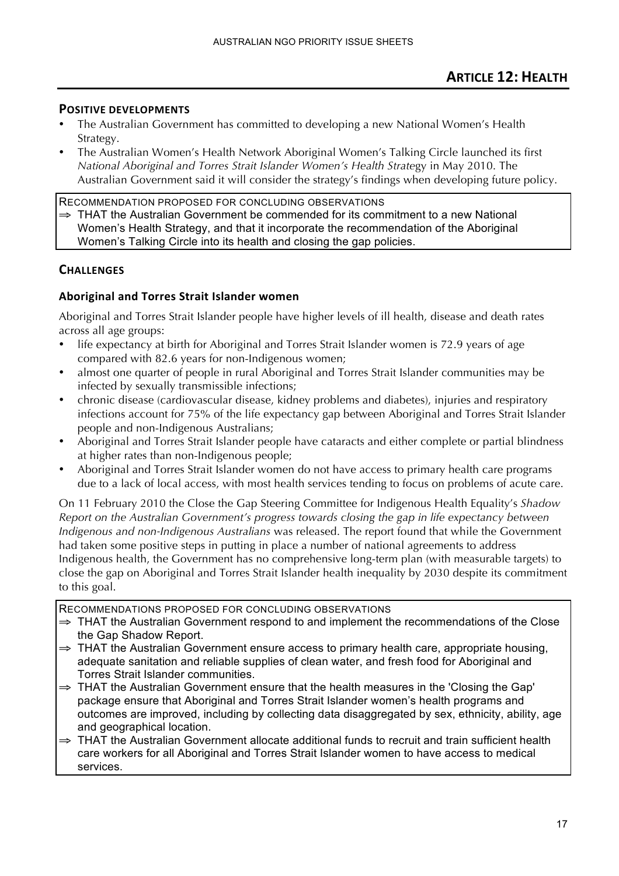- The Australian Government has committed to developing a new National Women's Health Strategy.
- The Australian Women's Health Network Aboriginal Women's Talking Circle launched its first *National Aboriginal and Torres Strait Islander Women's Health Strate*gy in May 2010. The Australian Government said it will consider the strategy's findings when developing future policy.

RECOMMENDATION PROPOSED FOR CONCLUDING OBSERVATIONS ⇒ THAT the Australian Government be commended for its commitment to a new National Women's Health Strategy, and that it incorporate the recommendation of the Aboriginal Women's Talking Circle into its health and closing the gap policies.

# **CHALLENGES)**

# Aboriginal and Torres Strait Islander women

Aboriginal and Torres Strait Islander people have higher levels of ill health, disease and death rates across all age groups:

- life expectancy at birth for Aboriginal and Torres Strait Islander women is 72.9 years of age compared with 82.6 years for non-Indigenous women;
- almost one quarter of people in rural Aboriginal and Torres Strait Islander communities may be infected by sexually transmissible infections;
- chronic disease (cardiovascular disease, kidney problems and diabetes), injuries and respiratory infections account for 75% of the life expectancy gap between Aboriginal and Torres Strait Islander people and non-Indigenous Australians;
- Aboriginal and Torres Strait Islander people have cataracts and either complete or partial blindness at higher rates than non-Indigenous people;
- Aboriginal and Torres Strait Islander women do not have access to primary health care programs due to a lack of local access, with most health services tending to focus on problems of acute care.

On 11 February 2010 the Close the Gap Steering Committee for Indigenous Health Equality's *Shadow Report on the Australian Government's progress towards closing the gap in life expectancy between Indigenous and non-Indigenous Australians* was released. The report found that while the Government had taken some positive steps in putting in place a number of national agreements to address Indigenous health, the Government has no comprehensive long-term plan (with measurable targets) to close the gap on Aboriginal and Torres Strait Islander health inequality by 2030 despite its commitment to this goal.

- ⇒ THAT the Australian Government respond to and implement the recommendations of the Close the Gap Shadow Report.
- $\Rightarrow$  THAT the Australian Government ensure access to primary health care, appropriate housing, adequate sanitation and reliable supplies of clean water, and fresh food for Aboriginal and Torres Strait Islander communities.
- ⇒ THAT the Australian Government ensure that the health measures in the 'Closing the Gap' package ensure that Aboriginal and Torres Strait Islander women's health programs and outcomes are improved, including by collecting data disaggregated by sex, ethnicity, ability, age and geographical location.
- ⇒ THAT the Australian Government allocate additional funds to recruit and train sufficient health care workers for all Aboriginal and Torres Strait Islander women to have access to medical services.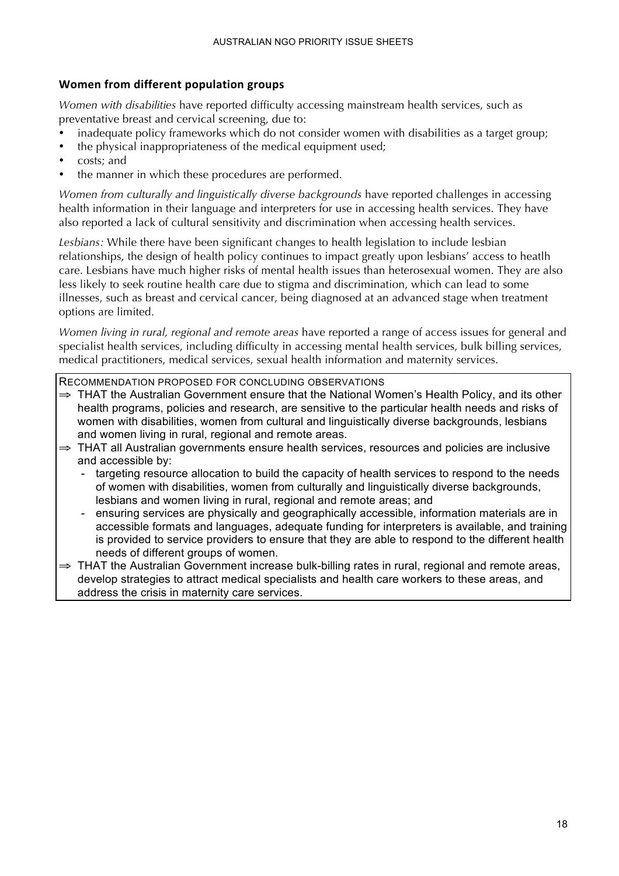# **Women)from)different)population)groups**

*Women with disabilities* have reported difficulty accessing mainstream health services, such as preventative breast and cervical screening, due to:

- inadequate policy frameworks which do not consider women with disabilities as a target group;
- the physical inappropriateness of the medical equipment used;
- costs; and
- the manner in which these procedures are performed.

*Women from culturally and linguistically diverse backgrounds* have reported challenges in accessing health information in their language and interpreters for use in accessing health services. They have also reported a lack of cultural sensitivity and discrimination when accessing health services.

*Lesbians:* While there have been significant changes to health legislation to include lesbian relationships, the design of health policy continues to impact greatly upon lesbians' access to heatlh care. Lesbians have much higher risks of mental health issues than heterosexual women. They are also less likely to seek routine health care due to stigma and discrimination, which can lead to some illnesses, such as breast and cervical cancer, being diagnosed at an advanced stage when treatment options are limited.

*Women living in rural, regional and remote areas* have reported a range of access issues for general and specialist health services, including difficulty in accessing mental health services, bulk billing services, medical practitioners, medical services, sexual health information and maternity services.

- ⇒ THAT the Australian Government ensure that the National Women's Health Policy, and its other health programs, policies and research, are sensitive to the particular health needs and risks of women with disabilities, women from cultural and linguistically diverse backgrounds, lesbians and women living in rural, regional and remote areas.
- ⇒ THAT all Australian governments ensure health services, resources and policies are inclusive and accessible by:
	- targeting resource allocation to build the capacity of health services to respond to the needs of women with disabilities, women from culturally and linguistically diverse backgrounds, lesbians and women living in rural, regional and remote areas; and
	- ensuring services are physically and geographically accessible, information materials are in accessible formats and languages, adequate funding for interpreters is available, and training is provided to service providers to ensure that they are able to respond to the different health needs of different groups of women.
- ⇒ THAT the Australian Government increase bulk-billing rates in rural, regional and remote areas, develop strategies to attract medical specialists and health care workers to these areas, and address the crisis in maternity care services.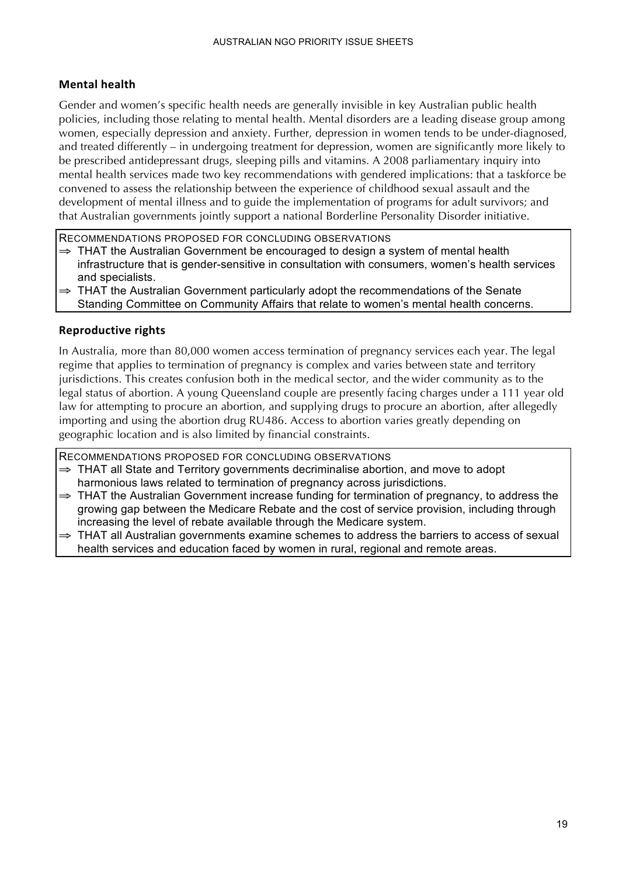# **Mental health**

Gender and women's specific health needs are generally invisible in key Australian public health policies, including those relating to mental health. Mental disorders are a leading disease group among women, especially depression and anxiety. Further, depression in women tends to be under-diagnosed, and treated differently – in undergoing treatment for depression, women are significantly more likely to be prescribed antidepressant drugs, sleeping pills and vitamins. A 2008 parliamentary inquiry into mental health services made two key recommendations with gendered implications: that a taskforce be convened to assess the relationship between the experience of childhood sexual assault and the development of mental illness and to guide the implementation of programs for adult survivors; and that Australian governments jointly support a national Borderline Personality Disorder initiative.

RECOMMENDATIONS PROPOSED FOR CONCLUDING OBSERVATIONS

- $\Rightarrow$  THAT the Australian Government be encouraged to design a system of mental health infrastructure that is gender-sensitive in consultation with consumers, women's health services and specialists.
- ⇒ THAT the Australian Government particularly adopt the recommendations of the Senate Standing Committee on Community Affairs that relate to women's mental health concerns.

#### **Reproductive rights**

In Australia, more than 80,000 women access termination of pregnancy services each year. The legal regime that applies to termination of pregnancy is complex and varies between state and territory jurisdictions. This creates confusion both in the medical sector, and the wider community as to the legal status of abortion. A young Queensland couple are presently facing charges under a 111 year old law for attempting to procure an abortion, and supplying drugs to procure an abortion, after allegedly importing and using the abortion drug RU486. Access to abortion varies greatly depending on geographic location and is also limited by financial constraints.

- ⇒ THAT all State and Territory governments decriminalise abortion, and move to adopt harmonious laws related to termination of pregnancy across jurisdictions.
- ⇒ THAT the Australian Government increase funding for termination of pregnancy, to address the growing gap between the Medicare Rebate and the cost of service provision, including through increasing the level of rebate available through the Medicare system.
- THAT all Australian governments examine schemes to address the barriers to access of sexual health services and education faced by women in rural, regional and remote areas.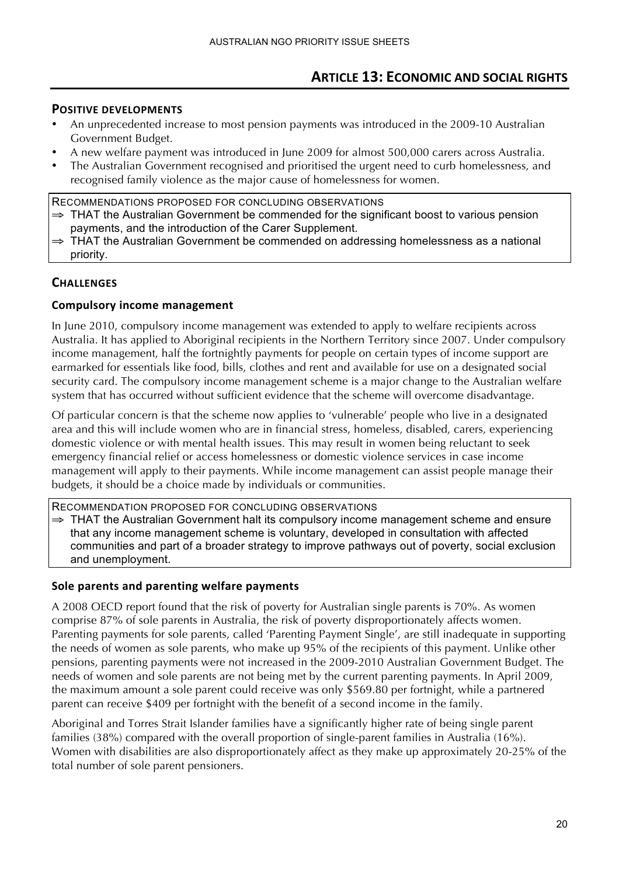- An unprecedented increase to most pension payments was introduced in the 2009-10 Australian Government Budget.
- A new welfare payment was introduced in June 2009 for almost 500,000 carers across Australia.
- The Australian Government recognised and prioritised the urgent need to curb homelessness, and recognised family violence as the major cause of homelessness for women.

RECOMMENDATIONS PROPOSED FOR CONCLUDING OBSERVATIONS ⇒ THAT the Australian Government be commended for the significant boost to various pension payments, and the introduction of the Carer Supplement.

THAT the Australian Government be commended on addressing homelessness as a national priority.

# **CHALLENGES**

#### **Compulsory income management**

In June 2010, compulsory income management was extended to apply to welfare recipients across Australia. It has applied to Aboriginal recipients in the Northern Territory since 2007. Under compulsory income management, half the fortnightly payments for people on certain types of income support are earmarked for essentials like food, bills, clothes and rent and available for use on a designated social security card. The compulsory income management scheme is a major change to the Australian welfare system that has occurred without sufficient evidence that the scheme will overcome disadvantage.

Of particular concern is that the scheme now applies to 'vulnerable' people who live in a designated area and this will include women who are in financial stress, homeless, disabled, carers, experiencing domestic violence or with mental health issues. This may result in women being reluctant to seek emergency financial relief or access homelessness or domestic violence services in case income management will apply to their payments. While income management can assist people manage their budgets, it should be a choice made by individuals or communities.

RECOMMENDATION PROPOSED FOR CONCLUDING OBSERVATIONS

⇒ THAT the Australian Government halt its compulsory income management scheme and ensure that any income management scheme is voluntary, developed in consultation with affected communities and part of a broader strategy to improve pathways out of poverty, social exclusion and unemployment.

#### Sole parents and parenting welfare payments

A 2008 OECD report found that the risk of poverty for Australian single parents is 70%. As women comprise 87% of sole parents in Australia, the risk of poverty disproportionately affects women. Parenting payments for sole parents, called 'Parenting Payment Single', are still inadequate in supporting the needs of women as sole parents, who make up 95% of the recipients of this payment. Unlike other pensions, parenting payments were not increased in the 2009-2010 Australian Government Budget. The needs of women and sole parents are not being met by the current parenting payments. In April 2009, the maximum amount a sole parent could receive was only \$569.80 per fortnight, while a partnered parent can receive \$409 per fortnight with the benefit of a second income in the family.

Aboriginal and Torres Strait Islander families have a significantly higher rate of being single parent families (38%) compared with the overall proportion of single-parent families in Australia (16%). Women with disabilities are also disproportionately affect as they make up approximately 20-25% of the total number of sole parent pensioners.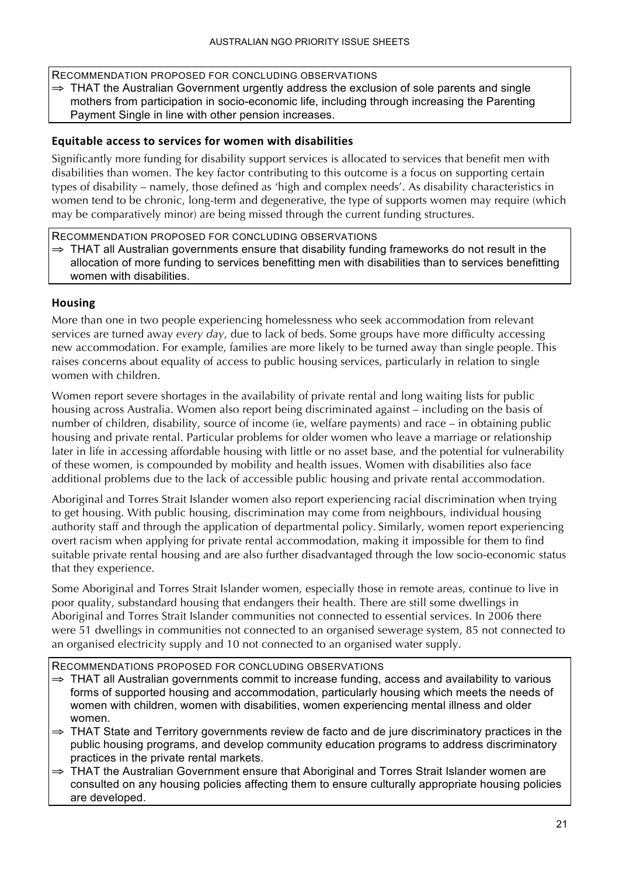RECOMMENDATION PROPOSED FOR CONCLUDING OBSERVATIONS

⇒ THAT the Australian Government urgently address the exclusion of sole parents and single mothers from participation in socio-economic life, including through increasing the Parenting Payment Single in line with other pension increases.

### Equitable access to services for women with disabilities

Significantly more funding for disability support services is allocated to services that benefit men with disabilities than women. The key factor contributing to this outcome is a focus on supporting certain types of disability – namely, those defined as 'high and complex needs'. As disability characteristics in women tend to be chronic, long-term and degenerative, the type of supports women may require (which may be comparatively minor) are being missed through the current funding structures.

RECOMMENDATION PROPOSED FOR CONCLUDING OBSERVATIONS

 $\Rightarrow$  THAT all Australian governments ensure that disability funding frameworks do not result in the allocation of more funding to services benefitting men with disabilities than to services benefitting women with disabilities.

#### **Housing**

More than one in two people experiencing homelessness who seek accommodation from relevant services are turned away *every day*, due to lack of beds. Some groups have more difficulty accessing new accommodation. For example, families are more likely to be turned away than single people. This raises concerns about equality of access to public housing services, particularly in relation to single women with children.

Women report severe shortages in the availability of private rental and long waiting lists for public housing across Australia. Women also report being discriminated against – including on the basis of number of children, disability, source of income (ie, welfare payments) and race – in obtaining public housing and private rental. Particular problems for older women who leave a marriage or relationship later in life in accessing affordable housing with little or no asset base, and the potential for vulnerability of these women, is compounded by mobility and health issues. Women with disabilities also face additional problems due to the lack of accessible public housing and private rental accommodation.

Aboriginal and Torres Strait Islander women also report experiencing racial discrimination when trying to get housing. With public housing, discrimination may come from neighbours, individual housing authority staff and through the application of departmental policy. Similarly, women report experiencing overt racism when applying for private rental accommodation, making it impossible for them to find suitable private rental housing and are also further disadvantaged through the low socio-economic status that they experience.

Some Aboriginal and Torres Strait Islander women, especially those in remote areas, continue to live in poor quality, substandard housing that endangers their health. There are still some dwellings in Aboriginal and Torres Strait Islander communities not connected to essential services. In 2006 there were 51 dwellings in communities not connected to an organised sewerage system, 85 not connected to an organised electricity supply and 10 not connected to an organised water supply.

- ⇒ THAT all Australian governments commit to increase funding, access and availability to various forms of supported housing and accommodation, particularly housing which meets the needs of women with children, women with disabilities, women experiencing mental illness and older women.
- ⇒ THAT State and Territory governments review de facto and de jure discriminatory practices in the public housing programs, and develop community education programs to address discriminatory practices in the private rental markets.
- ⇒ THAT the Australian Government ensure that Aboriginal and Torres Strait Islander women are consulted on any housing policies affecting them to ensure culturally appropriate housing policies are developed.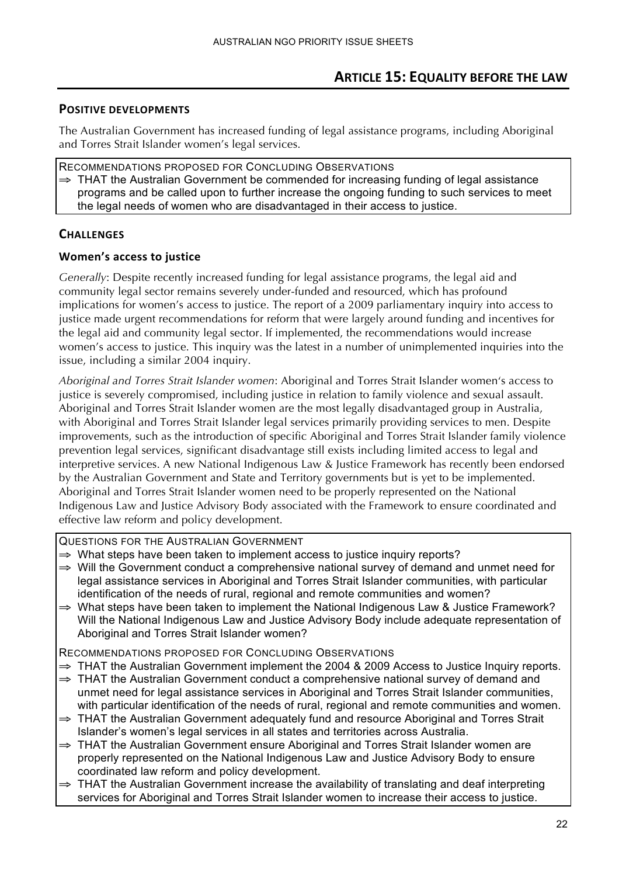# **ARTICLE 15: EQUALITY BEFORE THE LAW**

### **POSITIVE DEVELOPMENTS**

The Australian Government has increased funding of legal assistance programs, including Aboriginal and Torres Strait Islander women's legal services.

RECOMMENDATIONS PROPOSED FOR CONCLUDING OBSERVATIONS ⇒ THAT the Australian Government be commended for increasing funding of legal assistance programs and be called upon to further increase the ongoing funding to such services to meet the legal needs of women who are disadvantaged in their access to justice.

# **CHALLENGES**

#### **Women's access to justice**

*Generally*: Despite recently increased funding for legal assistance programs, the legal aid and community legal sector remains severely under-funded and resourced, which has profound implications for women's access to justice. The report of a 2009 parliamentary inquiry into access to justice made urgent recommendations for reform that were largely around funding and incentives for the legal aid and community legal sector. If implemented, the recommendations would increase women's access to justice. This inquiry was the latest in a number of unimplemented inquiries into the issue, including a similar 2004 inquiry.

*Aboriginal and Torres Strait Islander women*: Aboriginal and Torres Strait Islander women's access to justice is severely compromised, including justice in relation to family violence and sexual assault. Aboriginal and Torres Strait Islander women are the most legally disadvantaged group in Australia, with Aboriginal and Torres Strait Islander legal services primarily providing services to men. Despite improvements, such as the introduction of specific Aboriginal and Torres Strait Islander family violence prevention legal services, significant disadvantage still exists including limited access to legal and interpretive services. A new National Indigenous Law & Justice Framework has recently been endorsed by the Australian Government and State and Territory governments but is yet to be implemented. Aboriginal and Torres Strait Islander women need to be properly represented on the National Indigenous Law and Justice Advisory Body associated with the Framework to ensure coordinated and effective law reform and policy development.

QUESTIONS FOR THE AUSTRALIAN GOVERNMENT

- $\Rightarrow$  What steps have been taken to implement access to justice inquiry reports?
- ⇒ Will the Government conduct a comprehensive national survey of demand and unmet need for legal assistance services in Aboriginal and Torres Strait Islander communities, with particular identification of the needs of rural, regional and remote communities and women?
- ⇒ What steps have been taken to implement the National Indigenous Law & Justice Framework? Will the National Indigenous Law and Justice Advisory Body include adequate representation of Aboriginal and Torres Strait Islander women?

- $\Rightarrow$  THAT the Australian Government implement the 2004 & 2009 Access to Justice Inquiry reports.
- ⇒ THAT the Australian Government conduct a comprehensive national survey of demand and unmet need for legal assistance services in Aboriginal and Torres Strait Islander communities, with particular identification of the needs of rural, regional and remote communities and women.
- ⇒ THAT the Australian Government adequately fund and resource Aboriginal and Torres Strait Islander's women's legal services in all states and territories across Australia.
- ⇒ THAT the Australian Government ensure Aboriginal and Torres Strait Islander women are properly represented on the National Indigenous Law and Justice Advisory Body to ensure coordinated law reform and policy development.
- $\Rightarrow$  THAT the Australian Government increase the availability of translating and deaf interpreting services for Aboriginal and Torres Strait Islander women to increase their access to justice.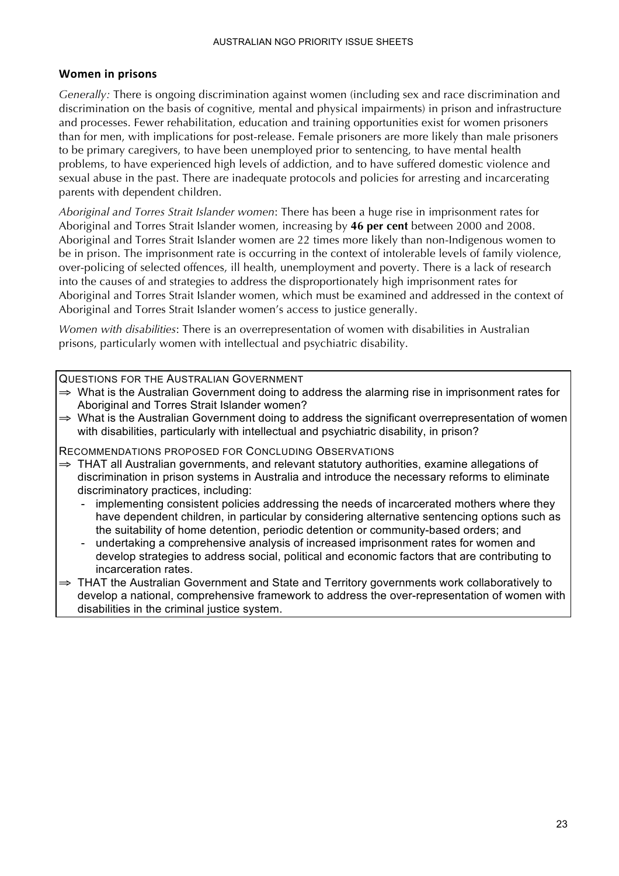#### **Women** in prisons

*Generally:* There is ongoing discrimination against women (including sex and race discrimination and discrimination on the basis of cognitive, mental and physical impairments) in prison and infrastructure and processes. Fewer rehabilitation, education and training opportunities exist for women prisoners than for men, with implications for post-release. Female prisoners are more likely than male prisoners to be primary caregivers, to have been unemployed prior to sentencing, to have mental health problems, to have experienced high levels of addiction, and to have suffered domestic violence and sexual abuse in the past. There are inadequate protocols and policies for arresting and incarcerating parents with dependent children.

*Aboriginal and Torres Strait Islander women*: There has been a huge rise in imprisonment rates for Aboriginal and Torres Strait Islander women, increasing by **46 per cent** between 2000 and 2008. Aboriginal and Torres Strait Islander women are 22 times more likely than non-Indigenous women to be in prison. The imprisonment rate is occurring in the context of intolerable levels of family violence, over-policing of selected offences, ill health, unemployment and poverty. There is a lack of research into the causes of and strategies to address the disproportionately high imprisonment rates for Aboriginal and Torres Strait Islander women, which must be examined and addressed in the context of Aboriginal and Torres Strait Islander women's access to justice generally.

*Women with disabilities*: There is an overrepresentation of women with disabilities in Australian prisons, particularly women with intellectual and psychiatric disability.

QUESTIONS FOR THE AUSTRALIAN GOVERNMENT

- ⇒ What is the Australian Government doing to address the alarming rise in imprisonment rates for Aboriginal and Torres Strait Islander women?
- ⇒ What is the Australian Government doing to address the significant overrepresentation of women with disabilities, particularly with intellectual and psychiatric disability, in prison?

- ⇒ THAT all Australian governments, and relevant statutory authorities, examine allegations of discrimination in prison systems in Australia and introduce the necessary reforms to eliminate discriminatory practices, including:
	- implementing consistent policies addressing the needs of incarcerated mothers where they have dependent children, in particular by considering alternative sentencing options such as the suitability of home detention, periodic detention or community-based orders; and
	- undertaking a comprehensive analysis of increased imprisonment rates for women and develop strategies to address social, political and economic factors that are contributing to incarceration rates.
- ⇒ THAT the Australian Government and State and Territory governments work collaboratively to develop a national, comprehensive framework to address the over-representation of women with disabilities in the criminal justice system.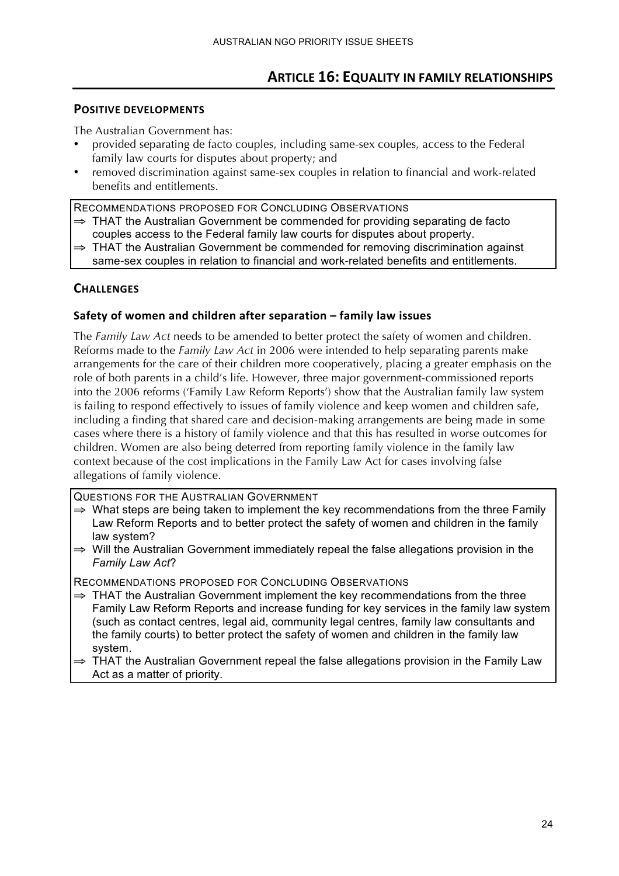# **ARTICLE 16: EQUALITY IN FAMILY RELATIONSHIPS**

#### **POSITIVE DEVELOPMENTS**

The Australian Government has:

- provided separating de facto couples, including same-sex couples, access to the Federal family law courts for disputes about property; and
- removed discrimination against same-sex couples in relation to financial and work-related benefits and entitlements.

RECOMMENDATIONS PROPOSED FOR CONCLUDING OBSERVATIONS

- $\Rightarrow$  THAT the Australian Government be commended for providing separating de facto couples access to the Federal family law courts for disputes about property.
- $\Rightarrow$  THAT the Australian Government be commended for removing discrimination against same-sex couples in relation to financial and work-related benefits and entitlements.

#### **CHALLENGES**

#### Safety of women and children after separation – family law issues

The *Family Law Act* needs to be amended to better protect the safety of women and children. Reforms made to the *Family Law Act* in 2006 were intended to help separating parents make arrangements for the care of their children more cooperatively, placing a greater emphasis on the role of both parents in a child's life. However, three major government-commissioned reports into the 2006 reforms ('Family Law Reform Reports') show that the Australian family law system is failing to respond effectively to issues of family violence and keep women and children safe, including a finding that shared care and decision-making arrangements are being made in some cases where there is a history of family violence and that this has resulted in worse outcomes for children. Women are also being deterred from reporting family violence in the family law context because of the cost implications in the Family Law Act for cases involving false allegations of family violence.

QUESTIONS FOR THE AUSTRALIAN GOVERNMENT

- $\Rightarrow$  What steps are being taken to implement the key recommendations from the three Family Law Reform Reports and to better protect the safety of women and children in the family law system?
- ⇒ Will the Australian Government immediately repeal the false allegations provision in the *Family Law Act*?

- $\Rightarrow$  THAT the Australian Government implement the key recommendations from the three Family Law Reform Reports and increase funding for key services in the family law system (such as contact centres, legal aid, community legal centres, family law consultants and the family courts) to better protect the safety of women and children in the family law system.
- ⇒ THAT the Australian Government repeal the false allegations provision in the Family Law Act as a matter of priority.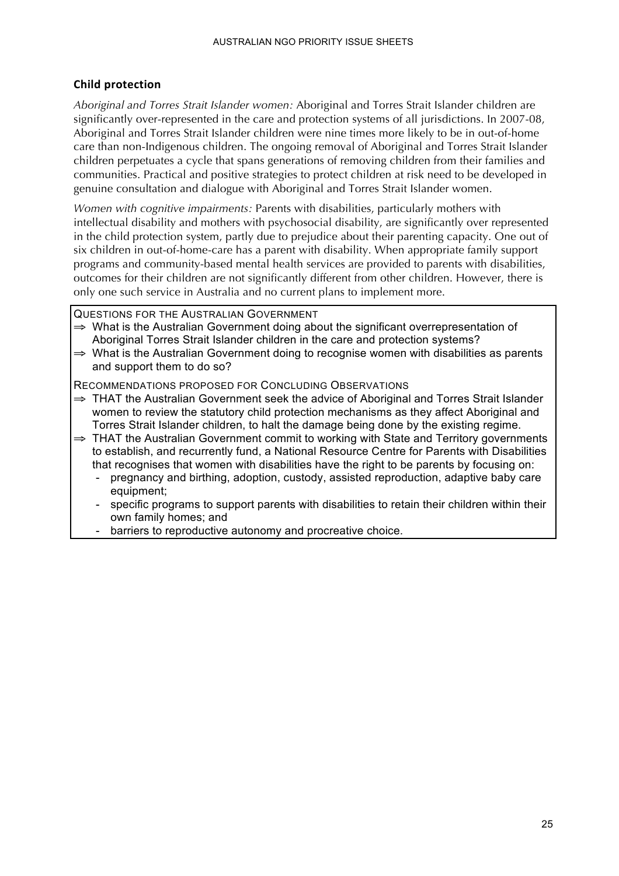### **Child)protection**

*Aboriginal and Torres Strait Islander women:* Aboriginal and Torres Strait Islander children are significantly over-represented in the care and protection systems of all jurisdictions. In 2007-08, Aboriginal and Torres Strait Islander children were nine times more likely to be in out-of-home care than non-Indigenous children. The ongoing removal of Aboriginal and Torres Strait Islander children perpetuates a cycle that spans generations of removing children from their families and communities. Practical and positive strategies to protect children at risk need to be developed in genuine consultation and dialogue with Aboriginal and Torres Strait Islander women.

*Women with cognitive impairments:* Parents with disabilities, particularly mothers with intellectual disability and mothers with psychosocial disability, are significantly over represented in the child protection system, partly due to prejudice about their parenting capacity. One out of six children in out-of-home-care has a parent with disability. When appropriate family support programs and community-based mental health services are provided to parents with disabilities, outcomes for their children are not significantly different from other children. However, there is only one such service in Australia and no current plans to implement more.

QUESTIONS FOR THE AUSTRALIAN GOVERNMENT

- ⇒ What is the Australian Government doing about the significant overrepresentation of Aboriginal Torres Strait Islander children in the care and protection systems?
- $\Rightarrow$  What is the Australian Government doing to recognise women with disabilities as parents and support them to do so?

- ⇒ THAT the Australian Government seek the advice of Aboriginal and Torres Strait Islander women to review the statutory child protection mechanisms as they affect Aboriginal and Torres Strait Islander children, to halt the damage being done by the existing regime.
- ⇒ THAT the Australian Government commit to working with State and Territory governments to establish, and recurrently fund, a National Resource Centre for Parents with Disabilities that recognises that women with disabilities have the right to be parents by focusing on:
	- pregnancy and birthing, adoption, custody, assisted reproduction, adaptive baby care equipment;
	- specific programs to support parents with disabilities to retain their children within their own family homes; and
	- barriers to reproductive autonomy and procreative choice.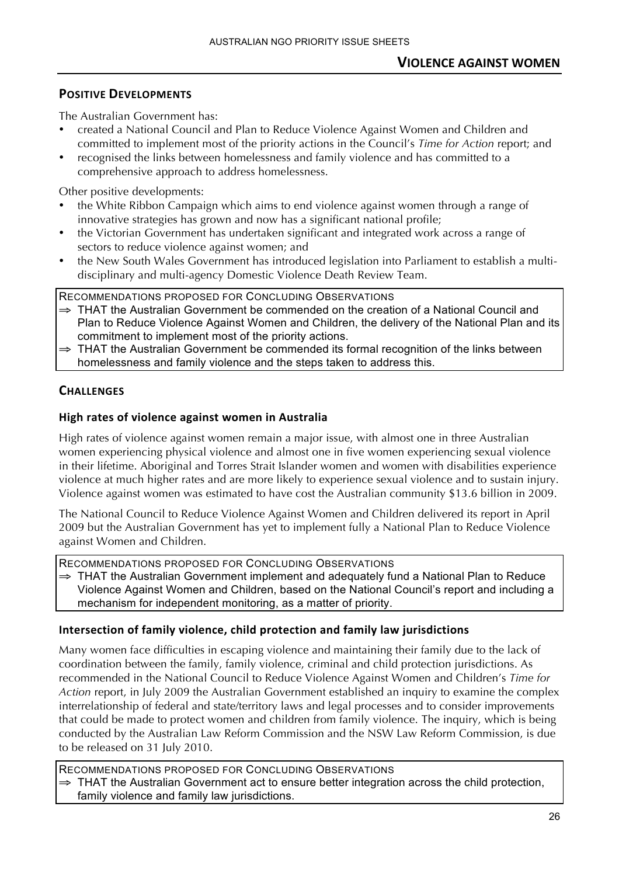The Australian Government has:

- created a National Council and Plan to Reduce Violence Against Women and Children and committed to implement most of the priority actions in the Council's *Time for Action* report; and
- recognised the links between homelessness and family violence and has committed to a comprehensive approach to address homelessness.

Other positive developments:

- the White Ribbon Campaign which aims to end violence against women through a range of innovative strategies has grown and now has a significant national profile;
- the Victorian Government has undertaken significant and integrated work across a range of sectors to reduce violence against women; and
- the New South Wales Government has introduced legislation into Parliament to establish a multidisciplinary and multi-agency Domestic Violence Death Review Team.

RECOMMENDATIONS PROPOSED FOR CONCLUDING OBSERVATIONS

- ⇒ THAT the Australian Government be commended on the creation of a National Council and Plan to Reduce Violence Against Women and Children, the delivery of the National Plan and its commitment to implement most of the priority actions.
- ⇒ THAT the Australian Government be commended its formal recognition of the links between homelessness and family violence and the steps taken to address this.

# **CHALLENGES**

# **High)rates)of)violence)against)women)in)Australia)**

High rates of violence against women remain a major issue, with almost one in three Australian women experiencing physical violence and almost one in five women experiencing sexual violence in their lifetime. Aboriginal and Torres Strait Islander women and women with disabilities experience violence at much higher rates and are more likely to experience sexual violence and to sustain injury. Violence against women was estimated to have cost the Australian community \$13.6 billion in 2009.

The National Council to Reduce Violence Against Women and Children delivered its report in April 2009 but the Australian Government has yet to implement fully a National Plan to Reduce Violence against Women and Children.

RECOMMENDATIONS PROPOSED FOR CONCLUDING OBSERVATIONS

⇒ THAT the Australian Government implement and adequately fund a National Plan to Reduce Violence Against Women and Children, based on the National Council's report and including a mechanism for independent monitoring, as a matter of priority.

# Intersection of family violence, child protection and family law jurisdictions

Many women face difficulties in escaping violence and maintaining their family due to the lack of coordination between the family, family violence, criminal and child protection jurisdictions. As recommended in the National Council to Reduce Violence Against Women and Children's *Time for Action* report, in July 2009 the Australian Government established an inquiry to examine the complex interrelationship of federal and state/territory laws and legal processes and to consider improvements that could be made to protect women and children from family violence. The inquiry, which is being conducted by the Australian Law Reform Commission and the NSW Law Reform Commission, is due to be released on 31 July 2010.

RECOMMENDATIONS PROPOSED FOR CONCLUDING OBSERVATIONS ⇒ THAT the Australian Government act to ensure better integration across the child protection, family violence and family law jurisdictions.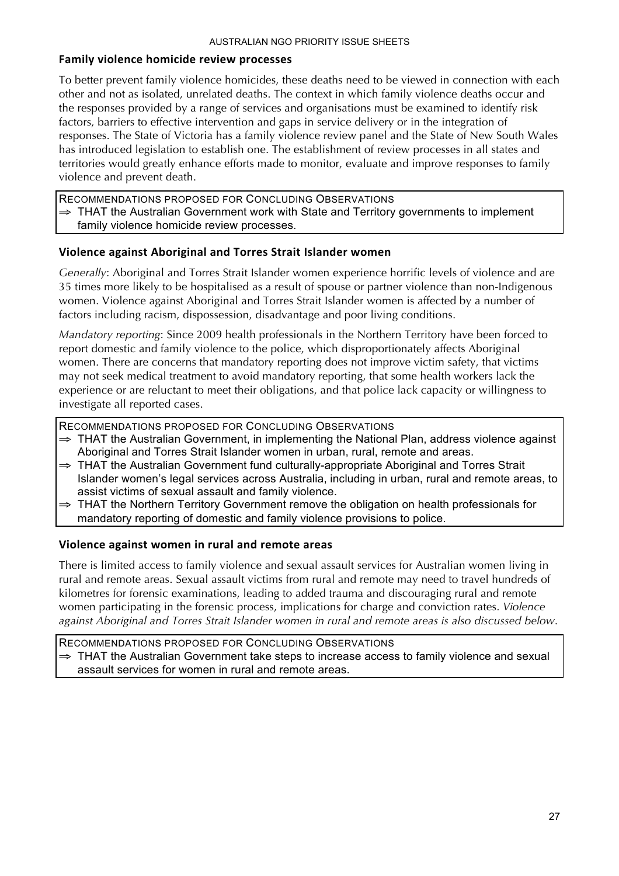#### Family violence homicide review processes

To better prevent family violence homicides, these deaths need to be viewed in connection with each other and not as isolated, unrelated deaths. The context in which family violence deaths occur and the responses provided by a range of services and organisations must be examined to identify risk factors, barriers to effective intervention and gaps in service delivery or in the integration of responses. The State of Victoria has a family violence review panel and the State of New South Wales has introduced legislation to establish one. The establishment of review processes in all states and territories would greatly enhance efforts made to monitor, evaluate and improve responses to family violence and prevent death.

RECOMMENDATIONS PROPOSED FOR CONCLUDING OBSERVATIONS  $\Rightarrow$  THAT the Australian Government work with State and Territory governments to implement family violence homicide review processes.

#### **Violence)against)Aboriginal)and)Torres)Strait)Islander)women**

*Generally*: Aboriginal and Torres Strait Islander women experience horrific levels of violence and are 35 times more likely to be hospitalised as a result of spouse or partner violence than non-Indigenous women. Violence against Aboriginal and Torres Strait Islander women is affected by a number of factors including racism, dispossession, disadvantage and poor living conditions.

*Mandatory reporting*: Since 2009 health professionals in the Northern Territory have been forced to report domestic and family violence to the police, which disproportionately affects Aboriginal women. There are concerns that mandatory reporting does not improve victim safety, that victims may not seek medical treatment to avoid mandatory reporting, that some health workers lack the experience or are reluctant to meet their obligations, and that police lack capacity or willingness to investigate all reported cases.

RECOMMENDATIONS PROPOSED FOR CONCLUDING OBSERVATIONS

- ⇒ THAT the Australian Government, in implementing the National Plan, address violence against Aboriginal and Torres Strait Islander women in urban, rural, remote and areas.
- ⇒ THAT the Australian Government fund culturally-appropriate Aboriginal and Torres Strait Islander women's legal services across Australia, including in urban, rural and remote areas, to assist victims of sexual assault and family violence.
- ⇒ THAT the Northern Territory Government remove the obligation on health professionals for mandatory reporting of domestic and family violence provisions to police.

#### **Violence)against)women)in)rural)and)remote)areas**

There is limited access to family violence and sexual assault services for Australian women living in rural and remote areas. Sexual assault victims from rural and remote may need to travel hundreds of kilometres for forensic examinations, leading to added trauma and discouraging rural and remote women participating in the forensic process, implications for charge and conviction rates. *Violence against Aboriginal and Torres Strait Islander women in rural and remote areas is also discussed below*.

RECOMMENDATIONS PROPOSED FOR CONCLUDING OBSERVATIONS ⇒ THAT the Australian Government take steps to increase access to family violence and sexual assault services for women in rural and remote areas.